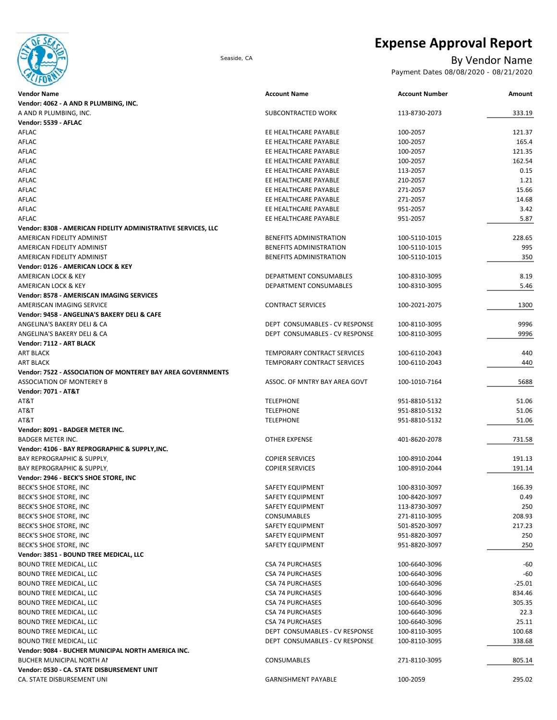

# **Expense Approval Report**

## Seaside, CA By Vendor Name

Payment Dates 08/08/2020 - 08/21/2020

| <b>Vendor Name</b>                                                 | <b>Account Name</b>            | <b>Account Number</b> | Amount   |
|--------------------------------------------------------------------|--------------------------------|-----------------------|----------|
| Vendor: 4062 - A AND R PLUMBING, INC.                              |                                |                       |          |
| A AND R PLUMBING, INC.                                             | SUBCONTRACTED WORK             | 113-8730-2073         | 333.19   |
| Vendor: 5539 - AFLAC                                               |                                |                       |          |
| AFLAC                                                              | EE HEALTHCARE PAYABLE          | 100-2057              | 121.37   |
| AFLAC                                                              | EE HEALTHCARE PAYABLE          | 100-2057              | 165.4    |
| AFLAC                                                              | EE HEALTHCARE PAYABLE          | 100-2057              | 121.35   |
| AFLAC                                                              | EE HEALTHCARE PAYABLE          | 100-2057              | 162.54   |
| AFLAC                                                              | EE HEALTHCARE PAYABLE          | 113-2057              | 0.15     |
| AFLAC                                                              | EE HEALTHCARE PAYABLE          | 210-2057              | 1.21     |
| AFLAC                                                              | EE HEALTHCARE PAYABLE          | 271-2057              | 15.66    |
| AFLAC                                                              | EE HEALTHCARE PAYABLE          | 271-2057              | 14.68    |
| AFLAC                                                              | EE HEALTHCARE PAYABLE          | 951-2057              | 3.42     |
| AFLAC                                                              | EE HEALTHCARE PAYABLE          | 951-2057              | 5.87     |
| Vendor: 8308 - AMERICAN FIDELITY ADMINISTRATIVE SERVICES, LLC      |                                |                       |          |
| AMERICAN FIDELITY ADMINIST                                         | BENEFITS ADMINISTRATION        | 100-5110-1015         | 228.65   |
| AMERICAN FIDELITY ADMINIST                                         | BENEFITS ADMINISTRATION        | 100-5110-1015         | 995      |
| AMERICAN FIDELITY ADMINIST                                         | BENEFITS ADMINISTRATION        | 100-5110-1015         | 350      |
| Vendor: 0126 - AMERICAN LOCK & KEY                                 |                                |                       |          |
| <b>AMERICAN LOCK &amp; KEY</b>                                     |                                |                       |          |
|                                                                    | DEPARTMENT CONSUMABLES         | 100-8310-3095         | 8.19     |
| <b>AMERICAN LOCK &amp; KEY</b>                                     | DEPARTMENT CONSUMABLES         | 100-8310-3095         | 5.46     |
| Vendor: 8578 - AMERISCAN IMAGING SERVICES                          |                                |                       |          |
| AMERISCAN IMAGING SERVICE                                          | <b>CONTRACT SERVICES</b>       | 100-2021-2075         | 1300     |
| Vendor: 9458 - ANGELINA'S BAKERY DELI & CAFE                       |                                |                       |          |
| ANGELINA'S BAKERY DELI & CA                                        | DEPT CONSUMABLES - CV RESPONSE | 100-8110-3095         | 9996     |
| ANGELINA'S BAKERY DELI & CA                                        | DEPT CONSUMABLES - CV RESPONSE | 100-8110-3095         | 9996     |
| Vendor: 7112 - ART BLACK                                           |                                |                       |          |
| <b>ART BLACK</b>                                                   | TEMPORARY CONTRACT SERVICES    | 100-6110-2043         | 440      |
| <b>ART BLACK</b>                                                   | TEMPORARY CONTRACT SERVICES    | 100-6110-2043         | 440      |
| <b>Vendor: 7522 - ASSOCIATION OF MONTEREY BAY AREA GOVERNMENTS</b> |                                |                       |          |
| <b>ASSOCIATION OF MONTEREY B</b>                                   | ASSOC. OF MNTRY BAY AREA GOVT  | 100-1010-7164         | 5688     |
| <b>Vendor: 7071 - AT&amp;T</b>                                     |                                |                       |          |
| AT&T                                                               | TELEPHONE                      | 951-8810-5132         | 51.06    |
| AT&T                                                               | <b>TELEPHONE</b>               | 951-8810-5132         | 51.06    |
| AT&T                                                               | <b>TELEPHONE</b>               | 951-8810-5132         | 51.06    |
| Vendor: 8091 - BADGER METER INC.                                   |                                |                       |          |
| <b>BADGER METER INC.</b>                                           | OTHER EXPENSE                  | 401-8620-2078         | 731.58   |
| Vendor: 4106 - BAY REPROGRAPHIC & SUPPLY, INC.                     |                                |                       |          |
| <b>BAY REPROGRAPHIC &amp; SUPPLY.</b>                              | <b>COPIER SERVICES</b>         | 100-8910-2044         | 191.13   |
| <b>BAY REPROGRAPHIC &amp; SUPPLY,</b>                              | <b>COPIER SERVICES</b>         | 100-8910-2044         | 191.14   |
| Vendor: 2946 - BECK'S SHOE STORE, INC                              |                                |                       |          |
| BECK'S SHOE STORE, INC                                             | SAFETY EQUIPMENT               | 100-8310-3097         | 166.39   |
| BECK'S SHOE STORE, INC                                             | SAFETY EQUIPMENT               | 100-8420-3097         | 0.49     |
| BECK'S SHOE STORE, INC                                             | SAFETY EQUIPMENT               | 113-8730-3097         | 250      |
| BECK'S SHOE STORE, INC                                             | CONSUMABLES                    | 271-8110-3095         | 208.93   |
| BECK'S SHOE STORE, INC                                             | SAFETY EQUIPMENT               | 501-8520-3097         | 217.23   |
| BECK'S SHOE STORE, INC                                             | SAFETY EQUIPMENT               | 951-8820-3097         | 250      |
| BECK'S SHOE STORE, INC                                             | SAFETY EQUIPMENT               | 951-8820-3097         | 250      |
|                                                                    |                                |                       |          |
| Vendor: 3851 - BOUND TREE MEDICAL, LLC                             |                                |                       |          |
| <b>BOUND TREE MEDICAL, LLC</b>                                     | <b>CSA 74 PURCHASES</b>        | 100-6640-3096         | -60      |
| BOUND TREE MEDICAL, LLC                                            | <b>CSA 74 PURCHASES</b>        | 100-6640-3096         | -60      |
| BOUND TREE MEDICAL, LLC                                            | <b>CSA 74 PURCHASES</b>        | 100-6640-3096         | $-25.01$ |
| BOUND TREE MEDICAL, LLC                                            | <b>CSA 74 PURCHASES</b>        | 100-6640-3096         | 834.46   |
| BOUND TREE MEDICAL, LLC                                            | <b>CSA 74 PURCHASES</b>        | 100-6640-3096         | 305.35   |
| BOUND TREE MEDICAL, LLC                                            | <b>CSA 74 PURCHASES</b>        | 100-6640-3096         | 22.3     |
| BOUND TREE MEDICAL, LLC                                            | <b>CSA 74 PURCHASES</b>        | 100-6640-3096         | 25.11    |
| BOUND TREE MEDICAL, LLC                                            | DEPT CONSUMABLES - CV RESPONSE | 100-8110-3095         | 100.68   |
| BOUND TREE MEDICAL, LLC                                            | DEPT CONSUMABLES - CV RESPONSE | 100-8110-3095         | 338.68   |
| Vendor: 9084 - BUCHER MUNICIPAL NORTH AMERICA INC.                 |                                |                       |          |
| BUCHER MUNICIPAL NORTH AI                                          | CONSUMABLES                    | 271-8110-3095         | 805.14   |
| Vendor: 0530 - CA. STATE DISBURSEMENT UNIT                         |                                |                       |          |
| CA. STATE DISBURSEMENT UNI                                         | <b>GARNISHMENT PAYABLE</b>     | 100-2059              | 295.02   |
|                                                                    |                                |                       |          |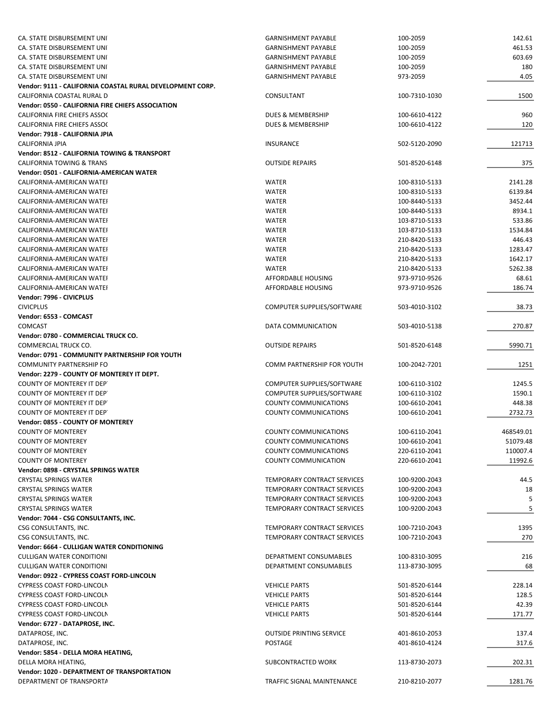| CA. STATE DISBURSEMENT UNI                                | <b>GARNISHMENT PAYABLE</b>         | 100-2059      | 142.61    |
|-----------------------------------------------------------|------------------------------------|---------------|-----------|
| CA. STATE DISBURSEMENT UNI                                | GARNISHMENT PAYABLE                | 100-2059      | 461.53    |
| CA. STATE DISBURSEMENT UNI                                | <b>GARNISHMENT PAYABLE</b>         | 100-2059      | 603.69    |
| CA. STATE DISBURSEMENT UNI                                | <b>GARNISHMENT PAYABLE</b>         | 100-2059      | 180       |
|                                                           | <b>GARNISHMENT PAYABLE</b>         | 973-2059      | 4.05      |
| CA. STATE DISBURSEMENT UNI                                |                                    |               |           |
| Vendor: 9111 - CALIFORNIA COASTAL RURAL DEVELOPMENT CORP. |                                    |               |           |
| CALIFORNIA COASTAL RURAL D                                | CONSULTANT                         | 100-7310-1030 | 1500      |
| Vendor: 0550 - CALIFORNIA FIRE CHIEFS ASSOCIATION         |                                    |               |           |
| CALIFORNIA FIRE CHIEFS ASSOC                              | DUES & MEMBERSHIP                  | 100-6610-4122 | 960       |
| <b>CALIFORNIA FIRE CHIEFS ASSOC</b>                       | DUES & MEMBERSHIP                  | 100-6610-4122 | 120       |
| Vendor: 7918 - CALIFORNIA JPIA                            |                                    |               |           |
| CALIFORNIA JPIA                                           | <b>INSURANCE</b>                   | 502-5120-2090 | 121713    |
| <b>Vendor: 8512 - CALIFORNIA TOWING &amp; TRANSPORT</b>   |                                    |               |           |
| <b>CALIFORNIA TOWING &amp; TRANS</b>                      | <b>OUTSIDE REPAIRS</b>             |               |           |
|                                                           |                                    | 501-8520-6148 | 375       |
| Vendor: 0501 - CALIFORNIA-AMERICAN WATER                  |                                    |               |           |
| CALIFORNIA-AMERICAN WATEI                                 | WATER                              | 100-8310-5133 | 2141.28   |
| CALIFORNIA-AMERICAN WATEI                                 | WATER                              | 100-8310-5133 | 6139.84   |
| CALIFORNIA-AMERICAN WATEI                                 | WATER                              | 100-8440-5133 | 3452.44   |
| CALIFORNIA-AMERICAN WATEI                                 | WATER                              | 100-8440-5133 | 8934.1    |
| CALIFORNIA-AMERICAN WATEI                                 | <b>WATER</b>                       | 103-8710-5133 | 533.86    |
| CALIFORNIA-AMERICAN WATEH                                 | <b>WATER</b>                       | 103-8710-5133 | 1534.84   |
| CALIFORNIA-AMERICAN WATEI                                 | <b>WATER</b>                       | 210-8420-5133 | 446.43    |
|                                                           |                                    |               |           |
| CALIFORNIA-AMERICAN WATEI                                 | <b>WATER</b>                       | 210-8420-5133 | 1283.47   |
| CALIFORNIA-AMERICAN WATEH                                 | <b>WATER</b>                       | 210-8420-5133 | 1642.17   |
| CALIFORNIA-AMERICAN WATEI                                 | <b>WATER</b>                       | 210-8420-5133 | 5262.38   |
| CALIFORNIA-AMERICAN WATEI                                 | AFFORDABLE HOUSING                 | 973-9710-9526 | 68.61     |
| CALIFORNIA-AMERICAN WATEI                                 | <b>AFFORDABLE HOUSING</b>          | 973-9710-9526 | 186.74    |
| Vendor: 7996 - CIVICPLUS                                  |                                    |               |           |
| <b>CIVICPLUS</b>                                          | COMPUTER SUPPLIES/SOFTWARE         | 503-4010-3102 | 38.73     |
| Vendor: 6553 - COMCAST                                    |                                    |               |           |
|                                                           |                                    |               |           |
| <b>COMCAST</b>                                            | DATA COMMUNICATION                 | 503-4010-5138 | 270.87    |
| Vendor: 0780 - COMMERCIAL TRUCK CO.                       |                                    |               |           |
| COMMERCIAL TRUCK CO.                                      | <b>OUTSIDE REPAIRS</b>             | 501-8520-6148 | 5990.71   |
| Vendor: 0791 - COMMUNITY PARTNERSHIP FOR YOUTH            |                                    |               |           |
| <b>COMMUNITY PARTNERSHIP FO</b>                           | COMM PARTNERSHIP FOR YOUTH         | 100-2042-7201 | 1251      |
| Vendor: 2279 - COUNTY OF MONTEREY IT DEPT.                |                                    |               |           |
| <b>COUNTY OF MONTEREY IT DEPT</b>                         | COMPUTER SUPPLIES/SOFTWARE         | 100-6110-3102 | 1245.5    |
| <b>COUNTY OF MONTEREY IT DEPT</b>                         | COMPUTER SUPPLIES/SOFTWARE         | 100-6110-3102 | 1590.1    |
| COUNTY OF MONTEREY IT DEPT                                | <b>COUNTY COMMUNICATIONS</b>       | 100-6610-2041 | 448.38    |
|                                                           |                                    |               |           |
| COUNTY OF MONTEREY IT DEPT                                | <b>COUNTY COMMUNICATIONS</b>       | 100-6610-2041 | 2732.73   |
| Vendor: 0855 - COUNTY OF MONTEREY                         |                                    |               |           |
| <b>COUNTY OF MONTEREY</b>                                 | <b>COUNTY COMMUNICATIONS</b>       | 100-6110-2041 | 468549.01 |
| <b>COUNTY OF MONTEREY</b>                                 | COUNTY COMMUNICATIONS              | 100-6610-2041 | 51079.48  |
| <b>COUNTY OF MONTEREY</b>                                 | COUNTY COMMUNICATIONS              | 220-6110-2041 | 110007.4  |
| <b>COUNTY OF MONTEREY</b>                                 | <b>COUNTY COMMUNICATION</b>        | 220-6610-2041 | 11992.6   |
| Vendor: 0898 - CRYSTAL SPRINGS WATER                      |                                    |               |           |
| <b>CRYSTAL SPRINGS WATER</b>                              | TEMPORARY CONTRACT SERVICES        | 100-9200-2043 | 44.5      |
| <b>CRYSTAL SPRINGS WATER</b>                              | TEMPORARY CONTRACT SERVICES        | 100-9200-2043 | 18        |
| <b>CRYSTAL SPRINGS WATER</b>                              |                                    |               |           |
|                                                           | TEMPORARY CONTRACT SERVICES        | 100-9200-2043 | 5         |
| <b>CRYSTAL SPRINGS WATER</b>                              | <b>TEMPORARY CONTRACT SERVICES</b> | 100-9200-2043 | 5         |
| Vendor: 7044 - CSG CONSULTANTS, INC.                      |                                    |               |           |
| CSG CONSULTANTS, INC.                                     | TEMPORARY CONTRACT SERVICES        | 100-7210-2043 | 1395      |
| CSG CONSULTANTS, INC.                                     | TEMPORARY CONTRACT SERVICES        | 100-7210-2043 | 270       |
| Vendor: 6664 - CULLIGAN WATER CONDITIONING                |                                    |               |           |
| <b>CULLIGAN WATER CONDITIONI</b>                          | DEPARTMENT CONSUMABLES             | 100-8310-3095 | 216       |
| <b>CULLIGAN WATER CONDITIONI</b>                          | DEPARTMENT CONSUMABLES             | 113-8730-3095 | 68        |
| Vendor: 0922 - CYPRESS COAST FORD-LINCOLN                 |                                    |               |           |
|                                                           |                                    |               |           |
| CYPRESS COAST FORD-LINCOLN                                | <b>VEHICLE PARTS</b>               | 501-8520-6144 | 228.14    |
| CYPRESS COAST FORD-LINCOLN                                | <b>VEHICLE PARTS</b>               | 501-8520-6144 | 128.5     |
| CYPRESS COAST FORD-LINCOLN                                | <b>VEHICLE PARTS</b>               | 501-8520-6144 | 42.39     |
| <b>CYPRESS COAST FORD-LINCOLN</b>                         | <b>VEHICLE PARTS</b>               | 501-8520-6144 | 171.77    |
| Vendor: 6727 - DATAPROSE, INC.                            |                                    |               |           |
| DATAPROSE, INC.                                           | <b>OUTSIDE PRINTING SERVICE</b>    | 401-8610-2053 | 137.4     |
| DATAPROSE, INC.                                           | POSTAGE                            | 401-8610-4124 | 317.6     |
| Vendor: 5854 - DELLA MORA HEATING,                        |                                    |               |           |
|                                                           |                                    |               |           |
| DELLA MORA HEATING,                                       | SUBCONTRACTED WORK                 | 113-8730-2073 | 202.31    |
| Vendor: 1020 - DEPARTMENT OF TRANSPORTATION               |                                    |               |           |
| DEPARTMENT OF TRANSPORTA                                  | TRAFFIC SIGNAL MAINTENANCE         | 210-8210-2077 | 1281.76   |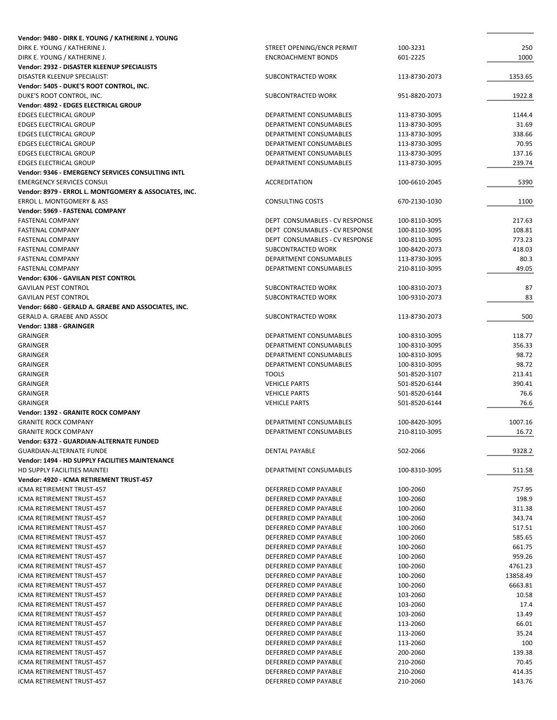| Vendor: 9480 - DIRK E. YOUNG / KATHERINE J. YOUNG<br>DIRK E. YOUNG / KATHERINE J. | STREET OPENING/ENCR PERMIT                       | 100-3231                       | 250                 |
|-----------------------------------------------------------------------------------|--------------------------------------------------|--------------------------------|---------------------|
| DIRK E. YOUNG / KATHERINE J.                                                      | <b>ENCROACHMENT BONDS</b>                        | 601-2225                       | 1000                |
| Vendor: 2932 - DISASTER KLEENUP SPECIALISTS                                       |                                                  |                                |                     |
| DISASTER KLEENUP SPECIALIST.                                                      | SUBCONTRACTED WORK                               | 113-8730-2073                  | 1353.65             |
| Vendor: 5405 - DUKE'S ROOT CONTROL, INC.                                          |                                                  |                                |                     |
| DUKE'S ROOT CONTROL, INC.                                                         | SUBCONTRACTED WORK                               | 951-8820-2073                  | 1922.8              |
| Vendor: 4892 - EDGES ELECTRICAL GROUP                                             |                                                  |                                |                     |
| <b>EDGES ELECTRICAL GROUP</b>                                                     | DEPARTMENT CONSUMABLES                           | 113-8730-3095                  | 1144.4              |
| <b>EDGES ELECTRICAL GROUP</b>                                                     | DEPARTMENT CONSUMABLES                           | 113-8730-3095                  | 31.69               |
| <b>EDGES ELECTRICAL GROUP</b><br><b>EDGES ELECTRICAL GROUP</b>                    | DEPARTMENT CONSUMABLES                           | 113-8730-3095                  | 338.66<br>70.95     |
| <b>EDGES ELECTRICAL GROUP</b>                                                     | DEPARTMENT CONSUMABLES<br>DEPARTMENT CONSUMABLES | 113-8730-3095<br>113-8730-3095 | 137.16              |
| <b>EDGES ELECTRICAL GROUP</b>                                                     | DEPARTMENT CONSUMABLES                           | 113-8730-3095                  | 239.74              |
| <b>Vendor: 9346 - EMERGENCY SERVICES CONSULTING INTL</b>                          |                                                  |                                |                     |
| <b>EMERGENCY SERVICES CONSUL</b>                                                  | <b>ACCREDITATION</b>                             | 100-6610-2045                  | 5390                |
| Vendor: 8979 - ERROL L. MONTGOMERY & ASSOCIATES, INC.                             |                                                  |                                |                     |
| ERROL L. MONTGOMERY & ASS                                                         | CONSULTING COSTS                                 | 670-2130-1030                  | 1100                |
| Vendor: 5969 - FASTENAL COMPANY                                                   |                                                  |                                |                     |
| <b>FASTENAL COMPANY</b>                                                           | DEPT CONSUMABLES - CV RESPONSE                   | 100-8110-3095                  | 217.63              |
| <b>FASTENAL COMPANY</b>                                                           | DEPT CONSUMABLES - CV RESPONSE                   | 100-8110-3095                  | 108.81              |
| <b>FASTENAL COMPANY</b>                                                           | DEPT CONSUMABLES - CV RESPONSE                   | 100-8110-3095                  | 773.23              |
| <b>FASTENAL COMPANY</b><br><b>FASTENAL COMPANY</b>                                | SUBCONTRACTED WORK<br>DEPARTMENT CONSUMABLES     | 100-8420-2073                  | 418.03<br>80.3      |
| <b>FASTENAL COMPANY</b>                                                           | DEPARTMENT CONSUMABLES                           | 113-8730-3095<br>210-8110-3095 | 49.05               |
| Vendor: 6306 - GAVILAN PEST CONTROL                                               |                                                  |                                |                     |
| <b>GAVILAN PEST CONTROL</b>                                                       | SUBCONTRACTED WORK                               | 100-8310-2073                  | 87                  |
| <b>GAVILAN PEST CONTROL</b>                                                       | SUBCONTRACTED WORK                               | 100-9310-2073                  | 83                  |
| Vendor: 6680 - GERALD A. GRAEBE AND ASSOCIATES, INC.                              |                                                  |                                |                     |
| GERALD A. GRAEBE AND ASSOC                                                        | SUBCONTRACTED WORK                               | 113-8730-2073                  | 500                 |
| Vendor: 1388 - GRAINGER                                                           |                                                  |                                |                     |
| <b>GRAINGER</b>                                                                   | DEPARTMENT CONSUMABLES                           | 100-8310-3095                  | 118.77              |
| <b>GRAINGER</b>                                                                   | DEPARTMENT CONSUMABLES                           | 100-8310-3095                  | 356.33              |
| <b>GRAINGER</b>                                                                   | DEPARTMENT CONSUMABLES                           | 100-8310-3095                  | 98.72               |
| <b>GRAINGER</b><br><b>GRAINGER</b>                                                | DEPARTMENT CONSUMABLES<br><b>TOOLS</b>           | 100-8310-3095<br>501-8520-3107 | 98.72<br>213.41     |
| <b>GRAINGER</b>                                                                   | <b>VEHICLE PARTS</b>                             | 501-8520-6144                  | 390.41              |
| <b>GRAINGER</b>                                                                   | <b>VEHICLE PARTS</b>                             | 501-8520-6144                  | 76.6                |
| <b>GRAINGER</b>                                                                   | <b>VEHICLE PARTS</b>                             | 501-8520-6144                  | 76.6                |
| Vendor: 1392 - GRANITE ROCK COMPANY                                               |                                                  |                                |                     |
| <b>GRANITE ROCK COMPANY</b>                                                       | DEPARTMENT CONSUMABLES                           | 100-8420-3095                  | 1007.16             |
| <b>GRANITE ROCK COMPANY</b>                                                       | DEPARTMENT CONSUMABLES                           | 210-8110-3095                  | 16.72               |
| Vendor: 6372 - GUARDIAN-ALTERNATE FUNDED                                          |                                                  |                                |                     |
| <b>GUARDIAN-ALTERNATE FUNDE</b>                                                   | <b>DENTAL PAYABLE</b>                            | 502-2066                       | 9328.2              |
| Vendor: 1494 - HD SUPPLY FACILITIES MAINTENANCE                                   |                                                  |                                |                     |
| HD SUPPLY FACILITIES MAINTEI<br>Vendor: 4920 - ICMA RETIREMENT TRUST-457          | DEPARTMENT CONSUMABLES                           | 100-8310-3095                  | 511.58              |
| ICMA RETIREMENT TRUST-457                                                         | DEFERRED COMP PAYABLE                            | 100-2060                       | 757.95              |
| ICMA RETIREMENT TRUST-457                                                         | DEFERRED COMP PAYABLE                            | 100-2060                       | 198.9               |
| ICMA RETIREMENT TRUST-457                                                         | DEFERRED COMP PAYABLE                            | 100-2060                       | 311.38              |
| ICMA RETIREMENT TRUST-457                                                         | DEFERRED COMP PAYABLE                            | 100-2060                       | 343.74              |
| ICMA RETIREMENT TRUST-457                                                         | <b>DEFERRED COMP PAYABLE</b>                     | 100-2060                       | 517.51              |
| ICMA RETIREMENT TRUST-457                                                         | DEFERRED COMP PAYABLE                            | 100-2060                       | 585.65              |
| ICMA RETIREMENT TRUST-457                                                         | DEFERRED COMP PAYABLE                            | 100-2060                       | 661.75              |
| ICMA RETIREMENT TRUST-457                                                         | DEFERRED COMP PAYABLE                            | 100-2060                       | 959.26              |
| ICMA RETIREMENT TRUST-457                                                         | DEFERRED COMP PAYABLE                            | 100-2060                       | 4761.23<br>13858.49 |
| ICMA RETIREMENT TRUST-457<br>ICMA RETIREMENT TRUST-457                            | DEFERRED COMP PAYABLE<br>DEFERRED COMP PAYABLE   | 100-2060<br>100-2060           | 6663.81             |
| ICMA RETIREMENT TRUST-457                                                         | DEFERRED COMP PAYABLE                            | 103-2060                       | 10.58               |
| ICMA RETIREMENT TRUST-457                                                         | DEFERRED COMP PAYABLE                            | 103-2060                       | 17.4                |
| ICMA RETIREMENT TRUST-457                                                         | DEFERRED COMP PAYABLE                            | 103-2060                       | 13.49               |
| ICMA RETIREMENT TRUST-457                                                         | DEFERRED COMP PAYABLE                            | 113-2060                       | 66.01               |
| ICMA RETIREMENT TRUST-457                                                         | DEFERRED COMP PAYABLE                            | 113-2060                       | 35.24               |
| ICMA RETIREMENT TRUST-457                                                         | DEFERRED COMP PAYABLE                            | 113-2060                       | 100                 |
| ICMA RETIREMENT TRUST-457                                                         | DEFERRED COMP PAYABLE                            | 200-2060                       | 139.38              |
| ICMA RETIREMENT TRUST-457                                                         | DEFERRED COMP PAYABLE                            | 210-2060                       | 70.45               |
| ICMA RETIREMENT TRUST-457                                                         | DEFERRED COMP PAYABLE                            | 210-2060                       | 414.35              |
| ICMA RETIREMENT TRUST-457                                                         | DEFERRED COMP PAYABLE                            | 210-2060                       | 143.76              |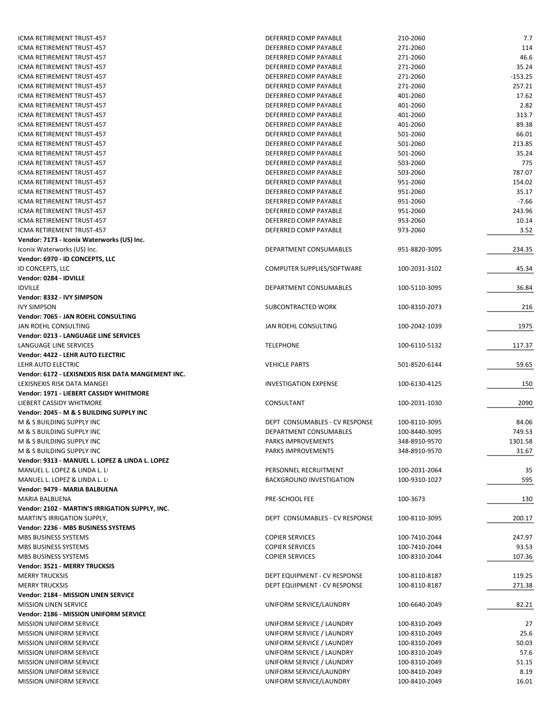| ICMA RETIREMENT TRUST-457                          | DEFERRED COMP PAYABLE           | 210-2060      | 7.7       |
|----------------------------------------------------|---------------------------------|---------------|-----------|
|                                                    |                                 | 271-2060      |           |
| ICMA RETIREMENT TRUST-457                          | DEFERRED COMP PAYABLE           |               | 114       |
| ICMA RETIREMENT TRUST-457                          | DEFERRED COMP PAYABLE           | 271-2060      | 46.6      |
| ICMA RETIREMENT TRUST-457                          | DEFERRED COMP PAYABLE           | 271-2060      | 35.24     |
| ICMA RETIREMENT TRUST-457                          | DEFERRED COMP PAYABLE           | 271-2060      | $-153.25$ |
| ICMA RETIREMENT TRUST-457                          | DEFERRED COMP PAYABLE           | 271-2060      | 257.21    |
| ICMA RETIREMENT TRUST-457                          | DEFERRED COMP PAYABLE           | 401-2060      | 17.62     |
| ICMA RETIREMENT TRUST-457                          | DEFERRED COMP PAYABLE           | 401-2060      | 2.82      |
| ICMA RETIREMENT TRUST-457                          | DEFERRED COMP PAYABLE           | 401-2060      | 313.7     |
| ICMA RETIREMENT TRUST-457                          | DEFERRED COMP PAYABLE           | 401-2060      | 89.38     |
| ICMA RETIREMENT TRUST-457                          | DEFERRED COMP PAYABLE           | 501-2060      | 66.01     |
| ICMA RETIREMENT TRUST-457                          | DEFERRED COMP PAYABLE           | 501-2060      | 213.85    |
|                                                    |                                 |               |           |
| <b>ICMA RETIREMENT TRUST-457</b>                   | DEFERRED COMP PAYABLE           | 501-2060      | 35.24     |
| ICMA RETIREMENT TRUST-457                          | DEFERRED COMP PAYABLE           | 503-2060      | 775       |
| ICMA RETIREMENT TRUST-457                          | DEFERRED COMP PAYABLE           | 503-2060      | 787.07    |
| ICMA RETIREMENT TRUST-457                          | DEFERRED COMP PAYABLE           | 951-2060      | 154.02    |
| ICMA RETIREMENT TRUST-457                          | DEFERRED COMP PAYABLE           | 951-2060      | 35.17     |
| ICMA RETIREMENT TRUST-457                          | DEFERRED COMP PAYABLE           | 951-2060      | $-7.66$   |
| ICMA RETIREMENT TRUST-457                          | DEFERRED COMP PAYABLE           | 951-2060      | 243.96    |
| <b>ICMA RETIREMENT TRUST-457</b>                   | DEFERRED COMP PAYABLE           | 953-2060      | 10.14     |
| ICMA RETIREMENT TRUST-457                          | DEFERRED COMP PAYABLE           | 973-2060      |           |
|                                                    |                                 |               | 3.52      |
| Vendor: 7173 - Iconix Waterworks (US) Inc.         |                                 |               |           |
| Iconix Waterworks (US) Inc.                        | DEPARTMENT CONSUMABLES          | 951-8820-3095 | 234.35    |
| Vendor: 6970 - ID CONCEPTS, LLC                    |                                 |               |           |
| ID CONCEPTS, LLC                                   | COMPUTER SUPPLIES/SOFTWARE      | 100-2031-3102 | 45.34     |
| Vendor: 0284 - IDVILLE                             |                                 |               |           |
| <b>IDVILLE</b>                                     | DEPARTMENT CONSUMABLES          | 100-5110-3095 | 36.84     |
| Vendor: 8332 - IVY SIMPSON                         |                                 |               |           |
| <b>IVY SIMPSON</b>                                 | SUBCONTRACTED WORK              | 100-8310-2073 | 216       |
| Vendor: 7065 - JAN ROEHL CONSULTING                |                                 |               |           |
|                                                    |                                 |               |           |
| JAN ROEHL CONSULTING                               | JAN ROEHL CONSULTING            | 100-2042-1039 | 1975      |
| Vendor: 0213 - LANGUAGE LINE SERVICES              |                                 |               |           |
| LANGUAGE LINE SERVICES                             | <b>TELEPHONE</b>                | 100-6110-5132 | 117.37    |
| Vendor: 4422 - LEHR AUTO ELECTRIC                  |                                 |               |           |
| LEHR AUTO ELECTRIC                                 | <b>VEHICLE PARTS</b>            | 501-8520-6144 | 59.65     |
| Vendor: 6172 - LEXISNEXIS RISK DATA MANGEMENT INC. |                                 |               |           |
| LEXISNEXIS RISK DATA MANGEI                        | <b>INVESTIGATION EXPENSE</b>    | 100-6130-4125 | 150       |
| Vendor: 1971 - LIEBERT CASSIDY WHITMORE            |                                 |               |           |
| LIEBERT CASSIDY WHITMORE                           | CONSULTANT                      | 100-2031-1030 | 2090      |
| Vendor: 2045 - M & S BUILDING SUPPLY INC           |                                 |               |           |
|                                                    |                                 |               |           |
| M & S BUILDING SUPPLY INC                          | DEPT CONSUMABLES - CV RESPONSE  | 100-8110-3095 | 84.06     |
| M & S BUILDING SUPPLY INC                          | DEPARTMENT CONSUMABLES          | 100-8440-3095 | 749.53    |
| M & S BUILDING SUPPLY INC                          | PARKS IMPROVEMENTS              | 348-8910-9570 | 1301.58   |
| M & S BUILDING SUPPLY INC                          | PARKS IMPROVEMENTS              | 348-8910-9570 | 31.67     |
| Vendor: 9313 - MANUEL L. LOPEZ & LINDA L. LOPEZ    |                                 |               |           |
| MANUEL L. LOPEZ & LINDA L. L                       | PERSONNEL RECRUITMENT           | 100-2031-2064 | 35        |
| MANUEL L. LOPEZ & LINDA L. L                       | <b>BACKGROUND INVESTIGATION</b> | 100-9310-1027 | 595       |
| Vendor: 9479 - MARIA BALBUENA                      |                                 |               |           |
| MARIA BALBUENA                                     | PRE-SCHOOL FEE                  | 100-3673      | 130       |
|                                                    |                                 |               |           |
| Vendor: 2102 - MARTIN'S IRRIGATION SUPPLY, INC.    |                                 |               |           |
| MARTIN'S IRRIGATION SUPPLY,                        | DEPT CONSUMABLES - CV RESPONSE  | 100-8110-3095 | 200.17    |
| Vendor: 2236 - MBS BUSINESS SYSTEMS                |                                 |               |           |
| MBS BUSINESS SYSTEMS                               | <b>COPIER SERVICES</b>          | 100-7410-2044 | 247.97    |
| MBS BUSINESS SYSTEMS                               | <b>COPIER SERVICES</b>          | 100-7410-2044 | 93.53     |
| MBS BUSINESS SYSTEMS                               | <b>COPIER SERVICES</b>          | 100-8310-2044 | 107.36    |
| Vendor: 3521 - MERRY TRUCKSIS                      |                                 |               |           |
| <b>MERRY TRUCKSIS</b>                              | DEPT EQUIPMENT - CV RESPONSE    | 100-8110-8187 | 119.25    |
| <b>MERRY TRUCKSIS</b>                              | DEPT EQUIPMENT - CV RESPONSE    | 100-8110-8187 | 271.38    |
|                                                    |                                 |               |           |
| Vendor: 2184 - MISSION LINEN SERVICE               |                                 |               |           |
| <b>MISSION LINEN SERVICE</b>                       | UNIFORM SERVICE/LAUNDRY         | 100-6640-2049 | 82.21     |
| Vendor: 2186 - MISSION UNIFORM SERVICE             |                                 |               |           |
| <b>MISSION UNIFORM SERVICE</b>                     | UNIFORM SERVICE / LAUNDRY       | 100-8310-2049 | 27        |
| MISSION UNIFORM SERVICE                            | UNIFORM SERVICE / LAUNDRY       | 100-8310-2049 | 25.6      |
| <b>MISSION UNIFORM SERVICE</b>                     | UNIFORM SERVICE / LAUNDRY       | 100-8310-2049 | 50.03     |
| <b>MISSION UNIFORM SERVICE</b>                     | UNIFORM SERVICE / LAUNDRY       | 100-8310-2049 | 57.6      |
| MISSION UNIFORM SERVICE                            | UNIFORM SERVICE / LAUNDRY       | 100-8310-2049 | 51.15     |
| MISSION UNIFORM SERVICE                            | UNIFORM SERVICE/LAUNDRY         | 100-8410-2049 | 8.19      |
| <b>MISSION UNIFORM SERVICE</b>                     | UNIFORM SERVICE/LAUNDRY         | 100-8410-2049 | 16.01     |
|                                                    |                                 |               |           |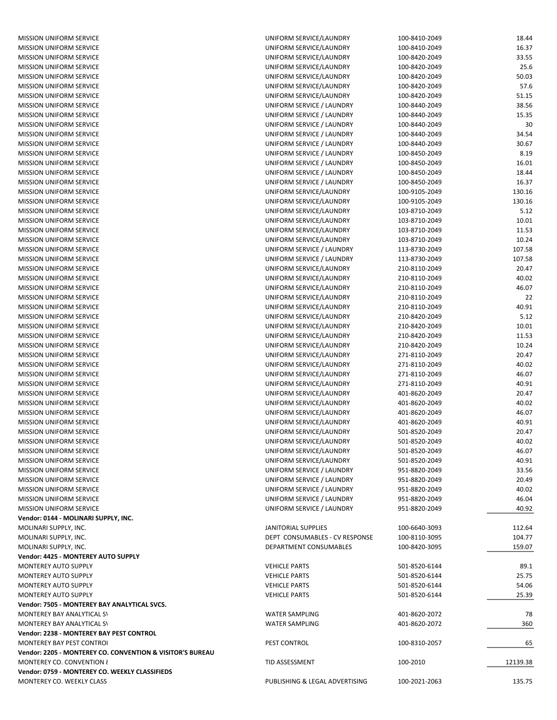**Vendor: 2238 ‐ MONTEREY BAY PEST CONTROL** MONTEREY BAY PEST CONTROL **Vendor: 2205 ‐ MONTEREY CO. CONVENTION & VISITOR'S BUREAU** MONTEREY CO. CONVENTION { **Vendor: 0759 ‐ MONTEREY CO. WEEKLY CLASSIFIEDS** MONTEREY CO. WEEKLY CLASS MONTEREY AUTO SUPPLY **Vendor: 7505 ‐ MONTEREY BAY ANALYTICAL SVCS.** MONTEREY BAY ANALYTICAL SV MONTEREY BAY ANALYTICAL SV **Vendor: 4425 ‐ MONTEREY AUTO SUPPLY** MONTEREY AUTO SUPPLY MONTEREY AUTO SUPPLY MONTEREY AUTO SUPPLY **Vendor: 0144 ‐ MOLINARI SUPPLY, INC.** MOLINARI SUPPLY, INC. MOLINARI SUPPLY, INC. MOLINARI SUPPLY, INC. MISSION UNIFORM SERVICE MISSION UNIFORM SERVICE MISSION UNIFORM SERVICE MISSION UNIFORM SERVICE MISSION UNIFORM SERVICE MISSION UNIFORM SERVICE MISSION UNIFORM SERVICE MISSION UNIFORM SERVICE MISSION UNIFORM SERVICE MISSION UNIFORM SERVICE MISSION UNIFORM SERVICE MISSION UNIFORM SERVICE MISSION UNIFORM SERVICE MISSION UNIFORM SERVICE MISSION UNIFORM SERVICE MISSION UNIFORM SERVICE MISSION UNIFORM SERVICE MISSION UNIFORM SERVICE MISSION UNIFORM SERVICE MISSION UNIFORM SERVICE MISSION UNIFORM SERVICE MISSION UNIFORM SERVICE MISSION UNIFORM SERVICE MISSION UNIFORM SERVICE MISSION UNIFORM SERVICE MISSION UNIFORM SERVICE MISSION UNIFORM SERVICE MISSION UNIFORM SERVICE MISSION UNIFORM SERVICE MISSION UNIFORM SERVICE MISSION UNIFORM SERVICE MISSION UNIFORM SERVICE MISSION UNIFORM SERVICE MISSION UNIFORM SERVICE MISSION UNIFORM SERVICE MISSION UNIFORM SERVICE MISSION UNIFORM SERVICE MISSION UNIFORM SERVICE MISSION UNIFORM SERVICE MISSION UNIFORM SERVICE MISSION UNIFORM SERVICE MISSION UNIFORM SERVICE MISSION UNIFORM SERVICE MISSION UNIFORM SERVICE MISSION UNIFORM SERVICE MISSION UNIFORM SERVICE MISSION UNIFORM SERVICE MISSION UNIFORM SERVICE MISSION UNIFORM SERVICE MISSION UNIFORM SERVICE

| UNIFORM SERVICE/LAUNDRY                                | 100-8410-2049                  | 18.44           |
|--------------------------------------------------------|--------------------------------|-----------------|
| UNIFORM SERVICE/LAUNDRY                                | 100-8410-2049                  | 16.37           |
| UNIFORM SERVICE/LAUNDRY                                | 100-8420-2049                  | 33.55           |
| UNIFORM SERVICE/LAUNDRY                                | 100-8420-2049                  | 25.6            |
| UNIFORM SERVICE/LAUNDRY                                | 100-8420-2049                  | 50.03           |
| UNIFORM SERVICE/LAUNDRY                                | 100-8420-2049                  | 57.6            |
| UNIFORM SERVICE/LAUNDRY                                | 100-8420-2049                  | 51.15           |
| UNIFORM SERVICE / LAUNDRY<br>UNIFORM SERVICE / LAUNDRY | 100-8440-2049<br>100-8440-2049 | 38.56<br>15.35  |
| UNIFORM SERVICE / LAUNDRY                              | 100-8440-2049                  | 30              |
| UNIFORM SERVICE / LAUNDRY                              | 100-8440-2049                  | 34.54           |
| UNIFORM SERVICE / LAUNDRY                              | 100-8440-2049                  | 30.67           |
| UNIFORM SERVICE / LAUNDRY                              | 100-8450-2049                  | 8.19            |
| UNIFORM SERVICE / LAUNDRY                              | 100-8450-2049                  | 16.01           |
| UNIFORM SERVICE / LAUNDRY                              | 100-8450-2049                  | 18.44           |
| UNIFORM SERVICE / LAUNDRY                              | 100-8450-2049                  | 16.37           |
| UNIFORM SERVICE/LAUNDRY                                | 100-9105-2049                  | 130.16          |
| UNIFORM SERVICE/LAUNDRY                                | 100-9105-2049                  | 130.16          |
| UNIFORM SERVICE/LAUNDRY                                | 103-8710-2049                  | 5.12            |
| UNIFORM SERVICE/LAUNDRY                                | 103-8710-2049                  | 10.01           |
| UNIFORM SERVICE/LAUNDRY                                | 103-8710-2049                  | 11.53           |
| UNIFORM SERVICE/LAUNDRY                                | 103-8710-2049                  | 10.24           |
| UNIFORM SERVICE / LAUNDRY<br>UNIFORM SERVICE / LAUNDRY | 113-8730-2049<br>113-8730-2049 | 107.58          |
| UNIFORM SERVICE/LAUNDRY                                | 210-8110-2049                  | 107.58<br>20.47 |
| UNIFORM SERVICE/LAUNDRY                                | 210-8110-2049                  | 40.02           |
| UNIFORM SERVICE/LAUNDRY                                | 210-8110-2049                  | 46.07           |
| UNIFORM SERVICE/LAUNDRY                                | 210-8110-2049                  | 22              |
| UNIFORM SERVICE/LAUNDRY                                | 210-8110-2049                  | 40.91           |
| UNIFORM SERVICE/LAUNDRY                                | 210-8420-2049                  | 5.12            |
| UNIFORM SERVICE/LAUNDRY                                | 210-8420-2049                  | 10.01           |
| UNIFORM SERVICE/LAUNDRY                                | 210-8420-2049                  | 11.53           |
| UNIFORM SERVICE/LAUNDRY                                | 210-8420-2049                  | 10.24           |
| UNIFORM SERVICE/LAUNDRY                                | 271-8110-2049                  | 20.47           |
| UNIFORM SERVICE/LAUNDRY                                | 271-8110-2049                  | 40.02           |
| UNIFORM SERVICE/LAUNDRY                                | 271-8110-2049                  | 46.07           |
| UNIFORM SERVICE/LAUNDRY                                | 271-8110-2049<br>401-8620-2049 | 40.91           |
| UNIFORM SERVICE/LAUNDRY<br>UNIFORM SERVICE/LAUNDRY     | 401-8620-2049                  | 20.47<br>40.02  |
| UNIFORM SERVICE/LAUNDRY                                | 401-8620-2049                  | 46.07           |
| UNIFORM SERVICE/LAUNDRY                                | 401-8620-2049                  | 40.91           |
| UNIFORM SERVICE/LAUNDRY                                | 501-8520-2049                  | 20.47           |
| UNIFORM SERVICE/LAUNDRY                                | 501-8520-2049                  | 40.02           |
| UNIFORM SERVICE/LAUNDRY                                | 501-8520-2049                  | 46.07           |
| UNIFORM SERVICE/LAUNDRY                                | 501-8520-2049                  | 40.91           |
| UNIFORM SERVICE / LAUNDRY                              | 951-8820-2049                  | 33.56           |
| UNIFORM SERVICE / LAUNDRY                              | 951-8820-2049                  | 20.49           |
| UNIFORM SERVICE / LAUNDRY                              | 951-8820-2049                  | 40.02           |
| UNIFORM SERVICE / LAUNDRY                              | 951-8820-2049                  | 46.04           |
| UNIFORM SERVICE / LAUNDRY                              | 951-8820-2049                  | 40.92           |
| JANITORIAL SUPPLIES                                    | 100-6640-3093                  | 112.64          |
| DEPT CONSUMABLES - CV RESPONSE                         | 100-8110-3095                  | 104.77          |
| <b>DEPARTMENT CONSUMABLES</b>                          | 100-8420-3095                  | 159.07          |
| <b>VEHICLE PARTS</b>                                   | 501-8520-6144                  | 89.1            |
| <b>VEHICLE PARTS</b>                                   | 501-8520-6144                  | 25.75           |
| <b>VEHICLE PARTS</b>                                   | 501-8520-6144                  | 54.06           |
| <b>VEHICLE PARTS</b>                                   | 501-8520-6144                  | 25.39           |
| <b>WATER SAMPLING</b>                                  | 401-8620-2072                  | 78              |
| <b>WATER SAMPLING</b>                                  | 401-8620-2072                  | 360             |
| PEST CONTROL                                           | 100-8310-2057                  | 65              |
| TID ASSESSMENT                                         | 100-2010                       | 12139.38        |
|                                                        |                                |                 |
| PUBLISHING & LEGAL ADVERTISING                         | 100-2021-2063                  | 135.75          |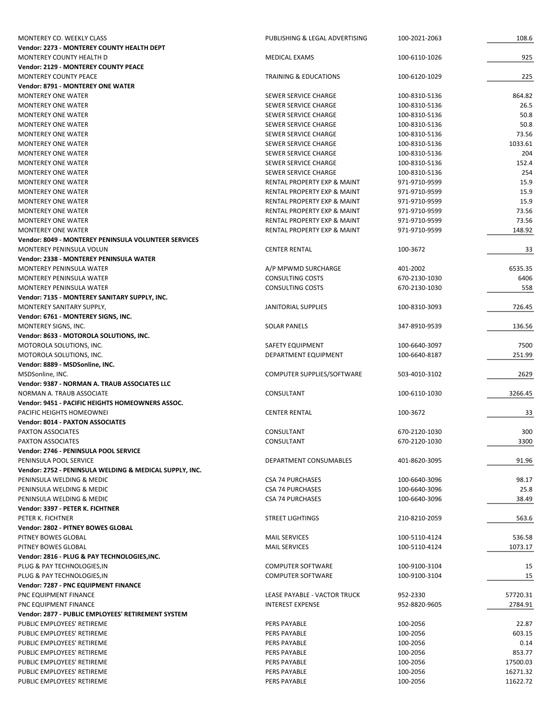| MONTEREY CO. WEEKLY CLASS                               | PUBLISHING & LEGAL ADVERTISING         | 100-2021-2063 | 108.6    |
|---------------------------------------------------------|----------------------------------------|---------------|----------|
| Vendor: 2273 - MONTEREY COUNTY HEALTH DEPT              |                                        |               |          |
| MONTEREY COUNTY HEALTH D                                | <b>MEDICAL EXAMS</b>                   | 100-6110-1026 | 925      |
| Vendor: 2129 - MONTEREY COUNTY PEACE                    |                                        |               |          |
| MONTEREY COUNTY PEACE                                   | <b>TRAINING &amp; EDUCATIONS</b>       | 100-6120-1029 | 225      |
| <b>Vendor: 8791 - MONTEREY ONE WATER</b>                |                                        |               |          |
| <b>MONTEREY ONE WATER</b>                               | SEWER SERVICE CHARGE                   | 100-8310-5136 | 864.82   |
| MONTEREY ONE WATER                                      | SEWER SERVICE CHARGE                   | 100-8310-5136 | 26.5     |
| <b>MONTEREY ONE WATER</b>                               | SEWER SERVICE CHARGE                   | 100-8310-5136 | 50.8     |
| <b>MONTEREY ONE WATER</b>                               | SEWER SERVICE CHARGE                   | 100-8310-5136 | 50.8     |
| <b>MONTEREY ONE WATER</b>                               | SEWER SERVICE CHARGE                   | 100-8310-5136 | 73.56    |
| <b>MONTEREY ONE WATER</b>                               | SEWER SERVICE CHARGE                   | 100-8310-5136 | 1033.61  |
| <b>MONTEREY ONE WATER</b>                               | SEWER SERVICE CHARGE                   | 100-8310-5136 | 204      |
| <b>MONTEREY ONE WATER</b>                               | SEWER SERVICE CHARGE                   | 100-8310-5136 | 152.4    |
| <b>MONTEREY ONE WATER</b>                               | SEWER SERVICE CHARGE                   | 100-8310-5136 | 254      |
| <b>MONTEREY ONE WATER</b>                               | RENTAL PROPERTY EXP & MAINT            | 971-9710-9599 | 15.9     |
| <b>MONTEREY ONE WATER</b>                               | RENTAL PROPERTY EXP & MAINT            | 971-9710-9599 | 15.9     |
| <b>MONTEREY ONE WATER</b>                               | RENTAL PROPERTY EXP & MAINT            | 971-9710-9599 | 15.9     |
| <b>MONTEREY ONE WATER</b>                               | RENTAL PROPERTY EXP & MAINT            | 971-9710-9599 | 73.56    |
| <b>MONTEREY ONE WATER</b>                               | <b>RENTAL PROPERTY EXP &amp; MAINT</b> | 971-9710-9599 | 73.56    |
| <b>MONTEREY ONE WATER</b>                               | RENTAL PROPERTY EXP & MAINT            | 971-9710-9599 | 148.92   |
| Vendor: 8049 - MONTEREY PENINSULA VOLUNTEER SERVICES    |                                        |               |          |
| MONTEREY PENINSULA VOLUN                                | <b>CENTER RENTAL</b>                   | 100-3672      | 33       |
| Vendor: 2338 - MONTEREY PENINSULA WATER                 |                                        |               |          |
| MONTEREY PENINSULA WATER                                | A/P MPWMD SURCHARGE                    | 401-2002      | 6535.35  |
| MONTEREY PENINSULA WATER                                | <b>CONSULTING COSTS</b>                | 670-2130-1030 | 6406     |
| MONTEREY PENINSULA WATER                                | <b>CONSULTING COSTS</b>                | 670-2130-1030 | 558      |
| Vendor: 7135 - MONTEREY SANITARY SUPPLY, INC.           |                                        |               |          |
| MONTEREY SANITARY SUPPLY,                               | <b>JANITORIAL SUPPLIES</b>             | 100-8310-3093 | 726.45   |
| Vendor: 6761 - MONTEREY SIGNS, INC.                     |                                        |               |          |
| MONTEREY SIGNS, INC.                                    | <b>SOLAR PANELS</b>                    | 347-8910-9539 | 136.56   |
| Vendor: 8633 - MOTOROLA SOLUTIONS, INC.                 |                                        |               |          |
| MOTOROLA SOLUTIONS, INC.                                | SAFETY EQUIPMENT                       | 100-6640-3097 | 7500     |
| MOTOROLA SOLUTIONS, INC.                                | DEPARTMENT EQUIPMENT                   | 100-6640-8187 | 251.99   |
| Vendor: 8889 - MSDSonline, INC.                         |                                        |               |          |
| MSDSonline, INC.                                        | COMPUTER SUPPLIES/SOFTWARE             | 503-4010-3102 | 2629     |
| Vendor: 9387 - NORMAN A. TRAUB ASSOCIATES LLC           |                                        |               |          |
| NORMAN A. TRAUB ASSOCIATE                               | CONSULTANT                             | 100-6110-1030 | 3266.45  |
| Vendor: 9451 - PACIFIC HEIGHTS HOMEOWNERS ASSOC.        |                                        |               |          |
| PACIFIC HEIGHTS HOMEOWNEI                               | <b>CENTER RENTAL</b>                   | 100-3672      | 33       |
| Vendor: 8014 - PAXTON ASSOCIATES                        |                                        |               |          |
| <b>PAXTON ASSOCIATES</b>                                | CONSULTANT                             | 670-2120-1030 | 300      |
| PAXTON ASSOCIATES                                       | CONSULTANT                             | 670-2120-1030 | 3300     |
| Vendor: 2746 - PENINSULA POOL SERVICE                   |                                        |               |          |
| PENINSULA POOL SERVICE                                  | DEPARTMENT CONSUMABLES                 | 401-8620-3095 | 91.96    |
| Vendor: 2752 - PENINSULA WELDING & MEDICAL SUPPLY, INC. |                                        |               |          |
| PENINSULA WELDING & MEDIC                               | <b>CSA 74 PURCHASES</b>                | 100-6640-3096 | 98.17    |
| PENINSULA WELDING & MEDIC                               | <b>CSA 74 PURCHASES</b>                | 100-6640-3096 | 25.8     |
| PENINSULA WELDING & MEDIC                               | <b>CSA 74 PURCHASES</b>                | 100-6640-3096 | 38.49    |
| Vendor: 3397 - PETER K. FICHTNER                        |                                        |               |          |
| PETER K. FICHTNER                                       | <b>STREET LIGHTINGS</b>                | 210-8210-2059 | 563.6    |
| Vendor: 2802 - PITNEY BOWES GLOBAL                      |                                        |               |          |
| PITNEY BOWES GLOBAL                                     | <b>MAIL SERVICES</b>                   | 100-5110-4124 | 536.58   |
| PITNEY BOWES GLOBAL                                     | <b>MAIL SERVICES</b>                   | 100-5110-4124 | 1073.17  |
| Vendor: 2816 - PLUG & PAY TECHNOLOGIES, INC.            |                                        |               |          |
| PLUG & PAY TECHNOLOGIES, IN                             | <b>COMPUTER SOFTWARE</b>               | 100-9100-3104 | 15       |
| PLUG & PAY TECHNOLOGIES, IN                             | <b>COMPUTER SOFTWARE</b>               | 100-9100-3104 | 15       |
| Vendor: 7287 - PNC EQUIPMENT FINANCE                    |                                        |               |          |
| PNC EQUIPMENT FINANCE                                   | LEASE PAYABLE - VACTOR TRUCK           | 952-2330      | 57720.31 |
| PNC EQUIPMENT FINANCE                                   | <b>INTEREST EXPENSE</b>                | 952-8820-9605 | 2784.91  |
| Vendor: 2877 - PUBLIC EMPLOYEES' RETIREMENT SYSTEM      |                                        |               |          |
| PUBLIC EMPLOYEES' RETIREME                              | PERS PAYABLE                           | 100-2056      | 22.87    |
| PUBLIC EMPLOYEES' RETIREME                              | PERS PAYABLE                           | 100-2056      | 603.15   |
| PUBLIC EMPLOYEES' RETIREME                              | PERS PAYABLE                           | 100-2056      | 0.14     |
| PUBLIC EMPLOYEES' RETIREME                              | PERS PAYABLE                           | 100-2056      | 853.77   |
| PUBLIC EMPLOYEES' RETIREME                              | PERS PAYABLE                           | 100-2056      | 17500.03 |
| PUBLIC EMPLOYEES' RETIREME                              | PERS PAYABLE                           | 100-2056      | 16271.32 |
| PUBLIC EMPLOYEES' RETIREME                              | PERS PAYABLE                           | 100-2056      | 11622.72 |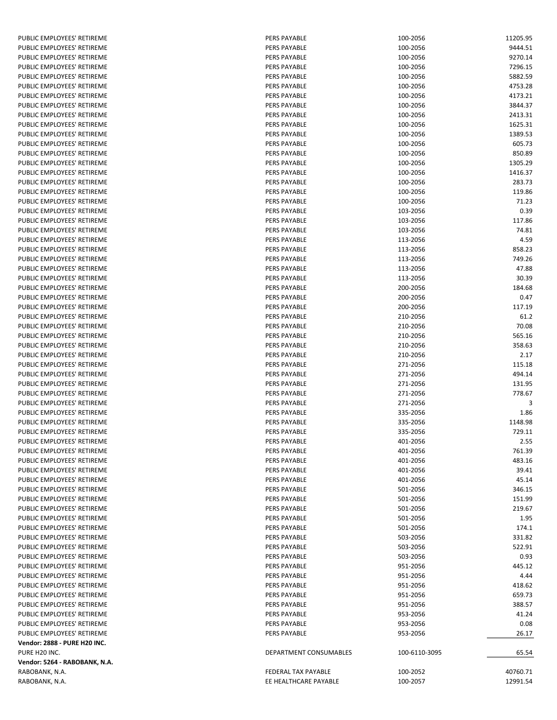| PUBLIC EMPLOYEES' RETIREME                               | <b>PERS PAYABLE</b>                        | 100-2056             | 11205.95       |
|----------------------------------------------------------|--------------------------------------------|----------------------|----------------|
| PUBLIC EMPLOYEES' RETIREME                               | <b>PERS PAYABLE</b>                        | 100-2056             | 9444.51        |
| PUBLIC EMPLOYEES' RETIREME                               | <b>PERS PAYABLE</b>                        | 100-2056             | 9270.14        |
| PUBLIC EMPLOYEES' RETIREME                               | <b>PERS PAYABLE</b>                        | 100-2056             | 7296.15        |
| PUBLIC EMPLOYEES' RETIREME                               | <b>PERS PAYABLE</b>                        | 100-2056             | 5882.59        |
| PUBLIC EMPLOYEES' RETIREME                               | PERS PAYABLE                               | 100-2056             | 4753.28        |
| PUBLIC EMPLOYEES' RETIREME                               | <b>PERS PAYABLE</b>                        | 100-2056             | 4173.21        |
| PUBLIC EMPLOYEES' RETIREME                               | <b>PERS PAYABLE</b>                        | 100-2056             | 3844.37        |
| PUBLIC EMPLOYEES' RETIREME                               | <b>PERS PAYABLE</b>                        | 100-2056             | 2413.31        |
| PUBLIC EMPLOYEES' RETIREME                               | <b>PERS PAYABLE</b>                        | 100-2056             | 1625.31        |
| PUBLIC EMPLOYEES' RETIREME                               | <b>PERS PAYABLE</b>                        | 100-2056             | 1389.53        |
| PUBLIC EMPLOYEES' RETIREME                               | PERS PAYABLE                               | 100-2056             | 605.73         |
| PUBLIC EMPLOYEES' RETIREME                               | <b>PERS PAYABLE</b>                        | 100-2056             | 850.89         |
| PUBLIC EMPLOYEES' RETIREME                               | <b>PERS PAYABLE</b>                        | 100-2056             | 1305.29        |
| PUBLIC EMPLOYEES' RETIREME                               | <b>PERS PAYABLE</b>                        | 100-2056             | 1416.37        |
| PUBLIC EMPLOYEES' RETIREME                               | <b>PERS PAYABLE</b>                        | 100-2056             | 283.73         |
| PUBLIC EMPLOYEES' RETIREME                               | <b>PERS PAYABLE</b>                        | 100-2056             | 119.86         |
| PUBLIC EMPLOYEES' RETIREME                               | <b>PERS PAYABLE</b>                        | 100-2056             | 71.23          |
| PUBLIC EMPLOYEES' RETIREME                               | <b>PERS PAYABLE</b>                        | 103-2056             | 0.39<br>117.86 |
| PUBLIC EMPLOYEES' RETIREME                               | <b>PERS PAYABLE</b>                        | 103-2056             |                |
| PUBLIC EMPLOYEES' RETIREME                               | <b>PERS PAYABLE</b>                        | 103-2056             | 74.81          |
| PUBLIC EMPLOYEES' RETIREME                               | <b>PERS PAYABLE</b><br><b>PERS PAYABLE</b> | 113-2056             | 4.59           |
| PUBLIC EMPLOYEES' RETIREME                               | <b>PERS PAYABLE</b>                        | 113-2056             | 858.23         |
| PUBLIC EMPLOYEES' RETIREME                               |                                            | 113-2056             | 749.26         |
| PUBLIC EMPLOYEES' RETIREME<br>PUBLIC EMPLOYEES' RETIREME | <b>PERS PAYABLE</b>                        | 113-2056             | 47.88          |
| PUBLIC EMPLOYEES' RETIREME                               | <b>PERS PAYABLE</b>                        | 113-2056<br>200-2056 | 30.39          |
|                                                          | <b>PERS PAYABLE</b>                        |                      | 184.68         |
| PUBLIC EMPLOYEES' RETIREME<br>PUBLIC EMPLOYEES' RETIREME | <b>PERS PAYABLE</b><br><b>PERS PAYABLE</b> | 200-2056             | 0.47<br>117.19 |
| PUBLIC EMPLOYEES' RETIREME                               | <b>PERS PAYABLE</b>                        | 200-2056<br>210-2056 | 61.2           |
| PUBLIC EMPLOYEES' RETIREME                               | <b>PERS PAYABLE</b>                        | 210-2056             | 70.08          |
| PUBLIC EMPLOYEES' RETIREME                               | <b>PERS PAYABLE</b>                        | 210-2056             | 565.16         |
| PUBLIC EMPLOYEES' RETIREME                               | <b>PERS PAYABLE</b>                        | 210-2056             | 358.63         |
| PUBLIC EMPLOYEES' RETIREME                               | <b>PERS PAYABLE</b>                        | 210-2056             | 2.17           |
| PUBLIC EMPLOYEES' RETIREME                               | <b>PERS PAYABLE</b>                        | 271-2056             | 115.18         |
| PUBLIC EMPLOYEES' RETIREME                               | <b>PERS PAYABLE</b>                        | 271-2056             | 494.14         |
| PUBLIC EMPLOYEES' RETIREME                               | PERS PAYABLE                               | 271-2056             | 131.95         |
| PUBLIC EMPLOYEES' RETIREME                               | PERS PAYABLE                               | 271-2056             | 778.67         |
| PUBLIC EMPLOYEES' RETIREME                               | PERS PAYABLE                               | 271-2056             | 3              |
| PUBLIC EMPLOYEES' RETIREME                               | <b>PERS PAYABLE</b>                        | 335-2056             | 1.86           |
| PUBLIC EMPLOYEES' RETIREME                               | <b>PERS PAYABLE</b>                        | 335-2056             | 1148.98        |
| PUBLIC EMPLOYEES' RETIREME                               | <b>PERS PAYABLE</b>                        | 335-2056             | 729.11         |
| PUBLIC EMPLOYEES' RETIREME                               | PERS PAYABLE                               | 401-2056             | 2.55           |
| PUBLIC EMPLOYEES' RETIREME                               | <b>PERS PAYABLE</b>                        | 401-2056             | 761.39         |
| PUBLIC EMPLOYEES' RETIREME                               | <b>PERS PAYABLE</b>                        | 401-2056             | 483.16         |
| PUBLIC EMPLOYEES' RETIREME                               | PERS PAYABLE                               | 401-2056             | 39.41          |
| PUBLIC EMPLOYEES' RETIREME                               | <b>PERS PAYABLE</b>                        | 401-2056             | 45.14          |
| PUBLIC EMPLOYEES' RETIREME                               | <b>PERS PAYABLE</b>                        | 501-2056             | 346.15         |
| PUBLIC EMPLOYEES' RETIREME                               | <b>PERS PAYABLE</b>                        | 501-2056             | 151.99         |
| PUBLIC EMPLOYEES' RETIREME                               | PERS PAYABLE                               | 501-2056             | 219.67         |
| PUBLIC EMPLOYEES' RETIREME                               | PERS PAYABLE                               | 501-2056             | 1.95           |
| PUBLIC EMPLOYEES' RETIREME                               | <b>PERS PAYABLE</b>                        | 501-2056             | 174.1          |
| PUBLIC EMPLOYEES' RETIREME                               | <b>PERS PAYABLE</b>                        | 503-2056             | 331.82         |
| PUBLIC EMPLOYEES' RETIREME                               | PERS PAYABLE                               | 503-2056             | 522.91         |
| PUBLIC EMPLOYEES' RETIREME                               | <b>PERS PAYABLE</b>                        | 503-2056             | 0.93           |
| PUBLIC EMPLOYEES' RETIREME                               | PERS PAYABLE                               | 951-2056             | 445.12         |
| PUBLIC EMPLOYEES' RETIREME                               | PERS PAYABLE                               | 951-2056             | 4.44           |
| PUBLIC EMPLOYEES' RETIREME                               | PERS PAYABLE                               | 951-2056             | 418.62         |
| PUBLIC EMPLOYEES' RETIREME                               | PERS PAYABLE                               | 951-2056             | 659.73         |
| PUBLIC EMPLOYEES' RETIREME                               | PERS PAYABLE                               | 951-2056             | 388.57         |
| PUBLIC EMPLOYEES' RETIREME                               | PERS PAYABLE                               | 953-2056             | 41.24          |
| PUBLIC EMPLOYEES' RETIREME                               | PERS PAYABLE                               | 953-2056             | 0.08           |
| PUBLIC EMPLOYEES' RETIREME                               | PERS PAYABLE                               | 953-2056             | 26.17          |
| Vendor: 2888 - PURE H20 INC.                             |                                            |                      |                |
| PURE H20 INC.                                            | DEPARTMENT CONSUMABLES                     | 100-6110-3095        | 65.54          |
| Vendor: 5264 - RABOBANK, N.A.                            |                                            |                      |                |
| RABOBANK, N.A.                                           | FEDERAL TAX PAYABLE                        | 100-2052             | 40760.71       |
| RABOBANK, N.A.                                           | EE HEALTHCARE PAYABLE                      | 100-2057             | 12991.54       |
|                                                          |                                            |                      |                |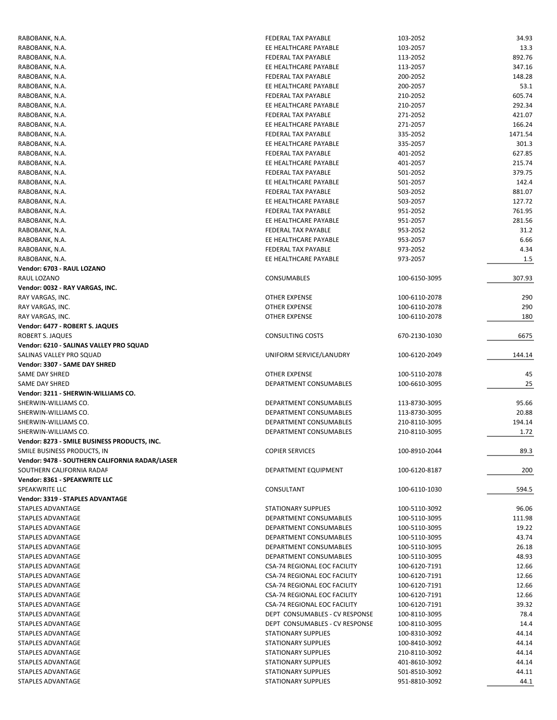| RABOBANK, N.A.                                 | FEDERAL TAX PAYABLE            | 103-2052      | 34.93   |
|------------------------------------------------|--------------------------------|---------------|---------|
| RABOBANK, N.A.                                 | EE HEALTHCARE PAYABLE          | 103-2057      | 13.3    |
| RABOBANK, N.A.                                 | FEDERAL TAX PAYABLE            | 113-2052      | 892.76  |
| RABOBANK, N.A.                                 | EE HEALTHCARE PAYABLE          | 113-2057      | 347.16  |
| RABOBANK, N.A.                                 | FEDERAL TAX PAYABLE            | 200-2052      | 148.28  |
| RABOBANK, N.A.                                 | EE HEALTHCARE PAYABLE          | 200-2057      | 53.1    |
| RABOBANK, N.A.                                 | <b>FEDERAL TAX PAYABLE</b>     | 210-2052      | 605.74  |
| RABOBANK, N.A.                                 | EE HEALTHCARE PAYABLE          | 210-2057      | 292.34  |
| RABOBANK, N.A.                                 | FEDERAL TAX PAYABLE            | 271-2052      | 421.07  |
| RABOBANK, N.A.                                 | EE HEALTHCARE PAYABLE          | 271-2057      | 166.24  |
| RABOBANK, N.A.                                 | FEDERAL TAX PAYABLE            | 335-2052      | 1471.54 |
| RABOBANK, N.A.                                 | EE HEALTHCARE PAYABLE          | 335-2057      | 301.3   |
| RABOBANK, N.A.                                 | FEDERAL TAX PAYABLE            | 401-2052      | 627.85  |
| RABOBANK, N.A.                                 | EE HEALTHCARE PAYABLE          | 401-2057      | 215.74  |
| RABOBANK, N.A.                                 | FEDERAL TAX PAYABLE            | 501-2052      | 379.75  |
| RABOBANK, N.A.                                 | EE HEALTHCARE PAYABLE          | 501-2057      | 142.4   |
| RABOBANK, N.A.                                 | FEDERAL TAX PAYABLE            | 503-2052      | 881.07  |
| RABOBANK, N.A.                                 | EE HEALTHCARE PAYABLE          | 503-2057      | 127.72  |
| RABOBANK, N.A.                                 | FEDERAL TAX PAYABLE            | 951-2052      | 761.95  |
| RABOBANK, N.A.                                 | EE HEALTHCARE PAYABLE          | 951-2057      | 281.56  |
| RABOBANK, N.A.                                 | FEDERAL TAX PAYABLE            | 953-2052      | 31.2    |
| RABOBANK, N.A.                                 | EE HEALTHCARE PAYABLE          | 953-2057      | 6.66    |
| RABOBANK, N.A.                                 | FEDERAL TAX PAYABLE            | 973-2052      | 4.34    |
| RABOBANK, N.A.                                 | EE HEALTHCARE PAYABLE          | 973-2057      | 1.5     |
| Vendor: 6703 - RAUL LOZANO                     |                                |               |         |
| RAUL LOZANO                                    | <b>CONSUMABLES</b>             | 100-6150-3095 | 307.93  |
| Vendor: 0032 - RAY VARGAS, INC.                |                                |               |         |
| RAY VARGAS, INC.                               | OTHER EXPENSE                  | 100-6110-2078 | 290     |
| RAY VARGAS, INC.                               | OTHER EXPENSE                  | 100-6110-2078 | 290     |
| RAY VARGAS, INC.                               | <b>OTHER EXPENSE</b>           | 100-6110-2078 | 180     |
| Vendor: 6477 - ROBERT S. JAQUES                |                                |               |         |
| ROBERT S. JAQUES                               | CONSULTING COSTS               | 670-2130-1030 | 6675    |
| Vendor: 6210 - SALINAS VALLEY PRO SQUAD        |                                |               |         |
|                                                |                                |               |         |
| SALINAS VALLEY PRO SQUAD                       | UNIFORM SERVICE/LANUDRY        | 100-6120-2049 | 144.14  |
| Vendor: 3307 - SAME DAY SHRED                  |                                |               |         |
| SAME DAY SHRED                                 | <b>OTHER EXPENSE</b>           | 100-5110-2078 | 45      |
| SAME DAY SHRED                                 | DEPARTMENT CONSUMABLES         | 100-6610-3095 | 25      |
| Vendor: 3211 - SHERWIN-WILLIAMS CO.            |                                |               |         |
| SHERWIN-WILLIAMS CO.                           | DEPARTMENT CONSUMABLES         | 113-8730-3095 | 95.66   |
| SHERWIN-WILLIAMS CO.                           | <b>DEPARTMENT CONSUMABLES</b>  | 113-8730-3095 | 20.88   |
| SHERWIN-WILLIAMS CO.                           | DEPARTMENT CONSUMABLES         | 210-8110-3095 | 194.14  |
| SHERWIN-WILLIAMS CO.                           | DEPARTMENT CONSUMABLES         | 210-8110-3095 | 1.72    |
| Vendor: 8273 - SMILE BUSINESS PRODUCTS, INC    |                                |               |         |
| SMILE BUSINESS PRODUCTS, IN                    | <b>COPIER SERVICES</b>         | 100-8910-2044 | 89.3    |
| Vendor: 9478 - SOUTHERN CALIFORNIA RADAR/LASER |                                |               |         |
| SOUTHERN CALIFORNIA RADAF                      | DEPARTMENT EQUIPMENT           | 100-6120-8187 | 200     |
| Vendor: 8361 - SPEAKWRITE LLC                  |                                |               |         |
| SPEAKWRITE LLC                                 | CONSULTANT                     | 100-6110-1030 | 594.5   |
| Vendor: 3319 - STAPLES ADVANTAGE               |                                |               |         |
| STAPLES ADVANTAGE                              | STATIONARY SUPPLIES            | 100-5110-3092 | 96.06   |
| STAPLES ADVANTAGE                              | DEPARTMENT CONSUMABLES         | 100-5110-3095 | 111.98  |
| STAPLES ADVANTAGE                              | DEPARTMENT CONSUMABLES         | 100-5110-3095 | 19.22   |
| STAPLES ADVANTAGE                              | DEPARTMENT CONSUMABLES         | 100-5110-3095 | 43.74   |
| STAPLES ADVANTAGE                              | <b>DEPARTMENT CONSUMABLES</b>  | 100-5110-3095 | 26.18   |
| STAPLES ADVANTAGE                              | DEPARTMENT CONSUMABLES         | 100-5110-3095 | 48.93   |
| STAPLES ADVANTAGE                              | CSA-74 REGIONAL EOC FACILITY   | 100-6120-7191 | 12.66   |
| STAPLES ADVANTAGE                              | CSA-74 REGIONAL EOC FACILITY   | 100-6120-7191 | 12.66   |
| STAPLES ADVANTAGE                              | CSA-74 REGIONAL EOC FACILITY   | 100-6120-7191 | 12.66   |
| STAPLES ADVANTAGE                              | CSA-74 REGIONAL EOC FACILITY   | 100-6120-7191 | 12.66   |
| STAPLES ADVANTAGE                              | CSA-74 REGIONAL EOC FACILITY   | 100-6120-7191 | 39.32   |
| STAPLES ADVANTAGE                              | DEPT CONSUMABLES - CV RESPONSE | 100-8110-3095 | 78.4    |
| STAPLES ADVANTAGE                              | DEPT CONSUMABLES - CV RESPONSE | 100-8110-3095 | 14.4    |
| STAPLES ADVANTAGE                              | STATIONARY SUPPLIES            | 100-8310-3092 | 44.14   |
| STAPLES ADVANTAGE                              | STATIONARY SUPPLIES            | 100-8410-3092 | 44.14   |
| STAPLES ADVANTAGE                              | STATIONARY SUPPLIES            | 210-8110-3092 | 44.14   |
| STAPLES ADVANTAGE                              | STATIONARY SUPPLIES            | 401-8610-3092 | 44.14   |
| STAPLES ADVANTAGE                              | STATIONARY SUPPLIES            | 501-8510-3092 | 44.11   |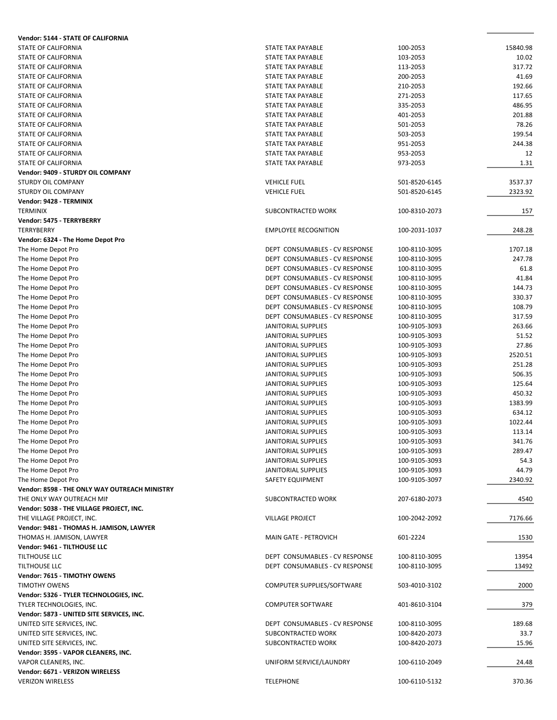| Vendor: 5144 - STATE OF CALIFORNIA            |                                |               |          |
|-----------------------------------------------|--------------------------------|---------------|----------|
| STATE OF CALIFORNIA                           | STATE TAX PAYABLE              | 100-2053      | 15840.98 |
| <b>STATE OF CALIFORNIA</b>                    | STATE TAX PAYABLE              | 103-2053      | 10.02    |
| STATE OF CALIFORNIA                           | STATE TAX PAYABLE              | 113-2053      | 317.72   |
| STATE OF CALIFORNIA                           | STATE TAX PAYABLE              | 200-2053      | 41.69    |
| STATE OF CALIFORNIA                           | STATE TAX PAYABLE              | 210-2053      | 192.66   |
| STATE OF CALIFORNIA                           | STATE TAX PAYABLE              | 271-2053      | 117.65   |
| <b>STATE OF CALIFORNIA</b>                    | STATE TAX PAYABLE              | 335-2053      | 486.95   |
| STATE OF CALIFORNIA                           | STATE TAX PAYABLE              | 401-2053      | 201.88   |
| STATE OF CALIFORNIA                           | STATE TAX PAYABLE              | 501-2053      | 78.26    |
| STATE OF CALIFORNIA                           | STATE TAX PAYABLE              | 503-2053      | 199.54   |
| <b>STATE OF CALIFORNIA</b>                    | STATE TAX PAYABLE              | 951-2053      | 244.38   |
| STATE OF CALIFORNIA                           | <b>STATE TAX PAYABLE</b>       | 953-2053      | 12       |
| STATE OF CALIFORNIA                           | STATE TAX PAYABLE              |               | 1.31     |
|                                               |                                | 973-2053      |          |
| Vendor: 9409 - STURDY OIL COMPANY             |                                |               |          |
| <b>STURDY OIL COMPANY</b>                     | <b>VEHICLE FUEL</b>            | 501-8520-6145 | 3537.37  |
| <b>STURDY OIL COMPANY</b>                     | <b>VEHICLE FUEL</b>            | 501-8520-6145 | 2323.92  |
| Vendor: 9428 - TERMINIX                       |                                |               |          |
| <b>TERMINIX</b>                               | SUBCONTRACTED WORK             | 100-8310-2073 | 157      |
| Vendor: 5475 - TERRYBERRY                     |                                |               |          |
| <b>TERRYBERRY</b>                             | <b>EMPLOYEE RECOGNITION</b>    | 100-2031-1037 | 248.28   |
| Vendor: 6324 - The Home Depot Pro             |                                |               |          |
| The Home Depot Pro                            | DEPT CONSUMABLES - CV RESPONSE | 100-8110-3095 | 1707.18  |
| The Home Depot Pro                            | DEPT CONSUMABLES - CV RESPONSE | 100-8110-3095 | 247.78   |
| The Home Depot Pro                            | DEPT CONSUMABLES - CV RESPONSE | 100-8110-3095 | 61.8     |
| The Home Depot Pro                            | DEPT CONSUMABLES - CV RESPONSE | 100-8110-3095 | 41.84    |
| The Home Depot Pro                            | DEPT CONSUMABLES - CV RESPONSE | 100-8110-3095 | 144.73   |
| The Home Depot Pro                            | DEPT CONSUMABLES - CV RESPONSE | 100-8110-3095 | 330.37   |
| The Home Depot Pro                            | DEPT CONSUMABLES - CV RESPONSE | 100-8110-3095 | 108.79   |
| The Home Depot Pro                            | DEPT CONSUMABLES - CV RESPONSE | 100-8110-3095 | 317.59   |
| The Home Depot Pro                            | JANITORIAL SUPPLIES            | 100-9105-3093 | 263.66   |
| The Home Depot Pro                            | JANITORIAL SUPPLIES            | 100-9105-3093 | 51.52    |
| The Home Depot Pro                            | JANITORIAL SUPPLIES            | 100-9105-3093 | 27.86    |
| The Home Depot Pro                            | <b>JANITORIAL SUPPLIES</b>     | 100-9105-3093 | 2520.51  |
|                                               | JANITORIAL SUPPLIES            | 100-9105-3093 | 251.28   |
| The Home Depot Pro                            |                                |               |          |
| The Home Depot Pro                            | JANITORIAL SUPPLIES            | 100-9105-3093 | 506.35   |
| The Home Depot Pro                            | JANITORIAL SUPPLIES            | 100-9105-3093 | 125.64   |
| The Home Depot Pro                            | JANITORIAL SUPPLIES            | 100-9105-3093 | 450.32   |
| The Home Depot Pro                            | JANITORIAL SUPPLIES            | 100-9105-3093 | 1383.99  |
| The Home Depot Pro                            | JANITORIAL SUPPLIES            | 100-9105-3093 | 634.12   |
| The Home Depot Pro                            | <b>JANITORIAL SUPPLIES</b>     | 100-9105-3093 | 1022.44  |
| The Home Depot Pro                            | JANITORIAL SUPPLIES            | 100-9105-3093 | 113.14   |
| The Home Depot Pro                            | JANITORIAL SUPPLIES            | 100-9105-3093 | 341.76   |
| The Home Depot Pro                            | JANITORIAL SUPPLIES            | 100-9105-3093 | 289.47   |
| The Home Depot Pro                            | JANITORIAL SUPPLIES            | 100-9105-3093 | 54.3     |
| The Home Depot Pro                            | JANITORIAL SUPPLIES            | 100-9105-3093 | 44.79    |
| The Home Depot Pro                            | SAFETY EQUIPMENT               | 100-9105-3097 | 2340.92  |
| Vendor: 8598 - THE ONLY WAY OUTREACH MINISTRY |                                |               |          |
| THE ONLY WAY OUTREACH MII                     | SUBCONTRACTED WORK             | 207-6180-2073 | 4540     |
| Vendor: 5038 - THE VILLAGE PROJECT, INC.      |                                |               |          |
| THE VILLAGE PROJECT, INC.                     | <b>VILLAGE PROJECT</b>         | 100-2042-2092 | 7176.66  |
| Vendor: 9481 - THOMAS H. JAMISON, LAWYER      |                                |               |          |
| THOMAS H. JAMISON, LAWYER                     | MAIN GATE - PETROVICH          | 601-2224      | 1530     |
| Vendor: 9461 - TILTHOUSE LLC                  |                                |               |          |
| TILTHOUSE LLC                                 | DEPT CONSUMABLES - CV RESPONSE | 100-8110-3095 | 13954    |
| TILTHOUSE LLC                                 | DEPT CONSUMABLES - CV RESPONSE | 100-8110-3095 | 13492    |
| Vendor: 7615 - TIMOTHY OWENS                  |                                |               |          |
| <b>TIMOTHY OWENS</b>                          | COMPUTER SUPPLIES/SOFTWARE     | 503-4010-3102 | 2000     |
| Vendor: 5326 - TYLER TECHNOLOGIES, INC.       |                                |               |          |
|                                               |                                |               |          |
| TYLER TECHNOLOGIES, INC.                      | <b>COMPUTER SOFTWARE</b>       | 401-8610-3104 | 379      |
| Vendor: 5873 - UNITED SITE SERVICES, INC.     |                                |               |          |
| UNITED SITE SERVICES, INC.                    | DEPT CONSUMABLES - CV RESPONSE | 100-8110-3095 | 189.68   |
| UNITED SITE SERVICES, INC.                    | SUBCONTRACTED WORK             | 100-8420-2073 | 33.7     |
| UNITED SITE SERVICES, INC.                    | SUBCONTRACTED WORK             | 100-8420-2073 | 15.96    |
| Vendor: 3595 - VAPOR CLEANERS, INC.           |                                |               |          |
| VAPOR CLEANERS, INC.                          | UNIFORM SERVICE/LAUNDRY        | 100-6110-2049 | 24.48    |
| Vendor: 6671 - VERIZON WIRELESS               |                                |               |          |
| <b>VERIZON WIRELESS</b>                       | <b>TELEPHONE</b>               | 100-6110-5132 | 370.36   |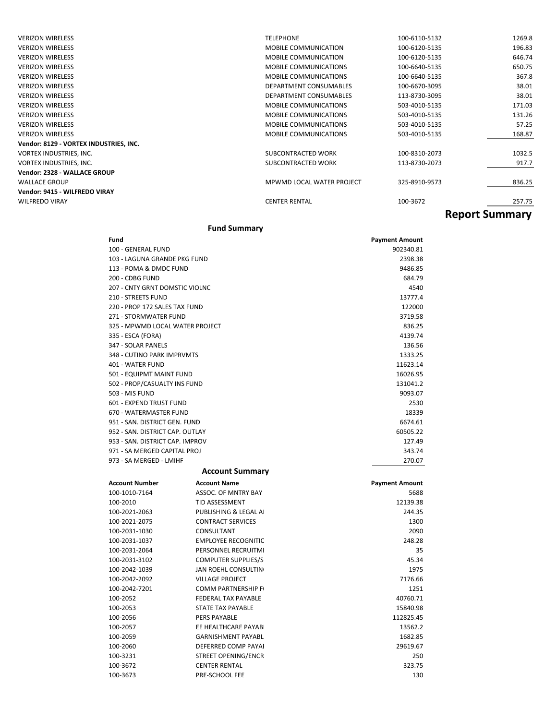| <b>VERIZON WIRELESS</b>                | <b>TELEPHONE</b>             | 100-6110-5132         | 1269.8 |
|----------------------------------------|------------------------------|-----------------------|--------|
| <b>VERIZON WIRELESS</b>                | <b>MOBILE COMMUNICATION</b>  | 100-6120-5135         | 196.83 |
| <b>VERIZON WIRELESS</b>                | <b>MOBILE COMMUNICATION</b>  | 100-6120-5135         | 646.74 |
| <b>VERIZON WIRELESS</b>                | <b>MOBILE COMMUNICATIONS</b> | 100-6640-5135         | 650.75 |
| <b>VERIZON WIRELESS</b>                | <b>MOBILE COMMUNICATIONS</b> | 100-6640-5135         | 367.8  |
| <b>VERIZON WIRELESS</b>                | DEPARTMENT CONSUMABLES       | 100-6670-3095         | 38.01  |
| <b>VERIZON WIRELESS</b>                | DEPARTMENT CONSUMABLES       | 113-8730-3095         | 38.01  |
| <b>VERIZON WIRELESS</b>                | <b>MOBILE COMMUNICATIONS</b> | 503-4010-5135         | 171.03 |
| <b>VERIZON WIRELESS</b>                | <b>MOBILE COMMUNICATIONS</b> | 503-4010-5135         | 131.26 |
| <b>VERIZON WIRELESS</b>                | <b>MOBILE COMMUNICATIONS</b> | 503-4010-5135         | 57.25  |
| <b>VERIZON WIRELESS</b>                | <b>MOBILE COMMUNICATIONS</b> | 503-4010-5135         | 168.87 |
| Vendor: 8129 - VORTEX INDUSTRIES, INC. |                              |                       |        |
| VORTEX INDUSTRIES, INC.                | SUBCONTRACTED WORK           | 100-8310-2073         | 1032.5 |
| VORTEX INDUSTRIES, INC.                | SUBCONTRACTED WORK           | 113-8730-2073         | 917.7  |
| Vendor: 2328 - WALLACE GROUP           |                              |                       |        |
| <b>WALLACE GROUP</b>                   | MPWMD LOCAL WATER PROJECT    | 325-8910-9573         | 836.25 |
| Vendor: 9415 - WILFREDO VIRAY          |                              |                       |        |
| <b>WILFREDO VIRAY</b>                  | <b>CENTER RENTAL</b>         | 100-3672              | 257.75 |
|                                        |                              | <b>Report Summary</b> |        |

### **Fund Summary**

| Fund                            | <b>Payment Amount</b> |
|---------------------------------|-----------------------|
| 100 - GENERAL FUND              | 902340.81             |
| 103 - LAGUNA GRANDE PKG FUND    | 2398.38               |
| 113 - POMA & DMDC FUND          | 9486.85               |
| 200 - CDBG FUND                 | 684.79                |
| 207 - CNTY GRNT DOMSTIC VIOLNC  | 4540                  |
| 210 - STREETS FUND              | 13777.4               |
| 220 - PROP 172 SALES TAX FUND   | 122000                |
| 271 - STORMWATER FUND           | 3719.58               |
| 325 - MPWMD LOCAL WATER PROJECT | 836.25                |
| 335 - ESCA (FORA)               | 4139.74               |
| 347 - SOLAR PANELS              | 136.56                |
| 348 - CUTINO PARK IMPRVMTS      | 1333.25               |
| 401 - WATER FUND                | 11623.14              |
| 501 - EQUIPMT MAINT FUND        | 16026.95              |
| 502 - PROP/CASUALTY INS FUND    | 131041.2              |
| 503 - MIS FUND                  | 9093.07               |
| 601 - EXPEND TRUST FUND         | 2530                  |
| 670 - WATERMASTER FUND          | 18339                 |
| 951 - SAN, DISTRICT GEN, FUND   | 6674.61               |
| 952 - SAN, DISTRICT CAP, OUTLAY | 60505.22              |
| 953 - SAN, DISTRICT CAP, IMPROV | 127.49                |
| 971 - SA MERGED CAPITAL PROJ    | 343.74                |
| 973 - SA MERGED - LMIHF         | 270.07                |
| <b>Account Summary</b>          |                       |

| <b>Account Number</b> | <b>Account Name</b>         | <b>Payment Amount</b> |
|-----------------------|-----------------------------|-----------------------|
| 100-1010-7164         | ASSOC. OF MNTRY BAY         | 5688                  |
| 100-2010              | <b>TID ASSESSMENT</b>       | 12139.38              |
| 100-2021-2063         | PUBLISHING & LEGAL AI       | 244.35                |
| 100-2021-2075         | <b>CONTRACT SERVICES</b>    | 1300                  |
| 100-2031-1030         | CONSULTANT                  | 2090                  |
| 100-2031-1037         | <b>EMPLOYEE RECOGNITIC</b>  | 248.28                |
| 100-2031-2064         | PERSONNEL RECRUITMI         | 35                    |
| 100-2031-3102         | <b>COMPUTER SUPPLIES/S</b>  | 45.34                 |
| 100-2042-1039         | <b>JAN ROEHL CONSULTING</b> | 1975                  |
| 100-2042-2092         | <b>VILLAGE PROJECT</b>      | 7176.66               |
| 100-2042-7201         | <b>COMM PARTNERSHIP FI</b>  | 1251                  |
| 100-2052              | <b>FEDERAL TAX PAYABLE</b>  | 40760.71              |
| 100-2053              | <b>STATE TAX PAYABLE</b>    | 15840.98              |
| 100-2056              | <b>PERS PAYABLE</b>         | 112825.45             |
| 100-2057              | EE HEALTHCARE PAYABI        | 13562.2               |
| 100-2059              | <b>GARNISHMENT PAYABL</b>   | 1682.85               |
| 100-2060              | DEFERRED COMP PAYAL         | 29619.67              |
| 100-3231              | STREET OPENING/ENCR         | 250                   |
| 100-3672              | <b>CENTER RENTAL</b>        | 323.75                |
| 100-3673              | <b>PRE-SCHOOL FEE</b>       | 130                   |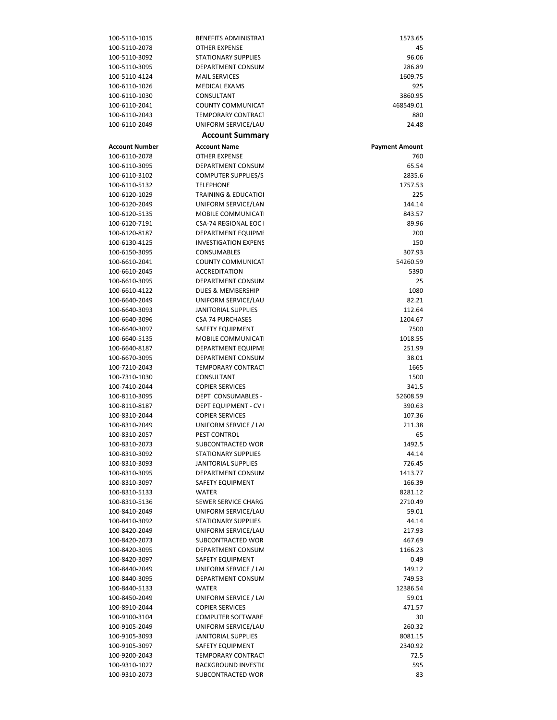| 100-5110-1015                          | <b>BENEFITS ADMINISTRAT</b>                             | 1573.65                      |
|----------------------------------------|---------------------------------------------------------|------------------------------|
| 100-5110-2078                          | <b>OTHER EXPENSE</b>                                    | 45                           |
| 100-5110-3092                          | <b>STATIONARY SUPPLIES</b>                              | 96.06                        |
| 100-5110-3095                          | DEPARTMENT CONSUM                                       | 286.89                       |
| 100-5110-4124                          | <b>MAIL SERVICES</b>                                    | 1609.75                      |
| 100-6110-1026                          | <b>MEDICAL EXAMS</b>                                    | 925                          |
| 100-6110-1030                          | CONSULTANT                                              | 3860.95                      |
| 100-6110-2041                          | <b>COUNTY COMMUNICAT</b>                                | 468549.01                    |
| 100-6110-2043                          | <b>TEMPORARY CONTRACT</b>                               | 880                          |
| 100-6110-2049                          | UNIFORM SERVICE/LAU                                     | 24.48                        |
|                                        | <b>Account Summary</b>                                  |                              |
| <b>Account Number</b><br>100-6110-2078 | <b>Account Name</b>                                     | <b>Payment Amount</b><br>760 |
| 100-6110-3095                          | <b>OTHER EXPENSE</b><br>DEPARTMENT CONSUM               | 65.54                        |
| 100-6110-3102                          | <b>COMPUTER SUPPLIES/S</b>                              | 2835.6                       |
| 100-6110-5132                          | <b>TELEPHONE</b>                                        | 1757.53                      |
| 100-6120-1029                          | <b>TRAINING &amp; EDUCATIOI</b>                         | 225                          |
| 100-6120-2049                          | UNIFORM SERVICE/LAN                                     | 144.14                       |
| 100-6120-5135                          | MOBILE COMMUNICATI                                      | 843.57                       |
| 100-6120-7191                          | CSA-74 REGIONAL EOC I                                   | 89.96                        |
| 100-6120-8187                          | DEPARTMENT EQUIPME                                      | 200                          |
| 100-6130-4125                          | <b>INVESTIGATION EXPENS</b>                             | 150                          |
| 100-6150-3095                          | <b>CONSUMABLES</b>                                      | 307.93                       |
| 100-6610-2041                          | <b>COUNTY COMMUNICAT</b>                                | 54260.59                     |
| 100-6610-2045                          | <b>ACCREDITATION</b>                                    | 5390                         |
| 100-6610-3095                          | DEPARTMENT CONSUM                                       | 25                           |
| 100-6610-4122                          | <b>DUES &amp; MEMBERSHIP</b>                            | 1080                         |
| 100-6640-2049                          | UNIFORM SERVICE/LAU                                     | 82.21                        |
| 100-6640-3093                          | <b>JANITORIAL SUPPLIES</b>                              | 112.64                       |
| 100-6640-3096<br>100-6640-3097         | <b>CSA 74 PURCHASES</b><br>SAFETY EQUIPMENT             | 1204.67<br>7500              |
| 100-6640-5135                          | MOBILE COMMUNICATI                                      | 1018.55                      |
| 100-6640-8187                          | DEPARTMENT EQUIPME                                      | 251.99                       |
| 100-6670-3095                          | DEPARTMENT CONSUM                                       | 38.01                        |
| 100-7210-2043                          | <b>TEMPORARY CONTRACT</b>                               | 1665                         |
| 100-7310-1030                          | CONSULTANT                                              | 1500                         |
| 100-7410-2044                          | <b>COPIER SERVICES</b>                                  | 341.5                        |
| 100-8110-3095                          | DEPT CONSUMABLES -                                      | 52608.59                     |
| 100-8110-8187                          | DEPT EQUIPMENT - CV I                                   | 390.63                       |
| 100-8310-2044                          | <b>COPIER SERVICES</b>                                  | 107.36                       |
| 100-8310-2049                          | UNIFORM SERVICE / LAI                                   | 211.38                       |
| 100-8310-2057                          | PEST CONTROL                                            | 65                           |
| 100-8310-2073                          | SUBCONTRACTED WOR                                       | 1492.5                       |
| 100-8310-3092                          | <b>STATIONARY SUPPLIES</b>                              | 44.14                        |
| 100-8310-3093<br>100-8310-3095         | JANITORIAL SUPPLIES                                     | 726.45                       |
| 100-8310-3097                          | DEPARTMENT CONSUM<br>SAFETY EQUIPMENT                   | 1413.77<br>166.39            |
| 100-8310-5133                          | <b>WATER</b>                                            | 8281.12                      |
| 100-8310-5136                          | SEWER SERVICE CHARG                                     | 2710.49                      |
| 100-8410-2049                          | UNIFORM SERVICE/LAU                                     | 59.01                        |
| 100-8410-3092                          | <b>STATIONARY SUPPLIES</b>                              | 44.14                        |
| 100-8420-2049                          | UNIFORM SERVICE/LAU                                     | 217.93                       |
| 100-8420-2073                          | SUBCONTRACTED WOR                                       | 467.69                       |
| 100-8420-3095                          | DEPARTMENT CONSUM                                       | 1166.23                      |
| 100-8420-3097                          | SAFETY EQUIPMENT                                        | 0.49                         |
| 100-8440-2049                          | UNIFORM SERVICE / LAI                                   | 149.12                       |
| 100-8440-3095                          | DEPARTMENT CONSUM                                       | 749.53                       |
| 100-8440-5133                          | <b>WATER</b>                                            | 12386.54                     |
| 100-8450-2049                          | UNIFORM SERVICE / LAI                                   | 59.01                        |
| 100-8910-2044                          | <b>COPIER SERVICES</b>                                  | 471.57                       |
| 100-9100-3104                          | <b>COMPUTER SOFTWARE</b>                                | 30                           |
| 100-9105-2049                          | UNIFORM SERVICE/LAU                                     | 260.32                       |
| 100-9105-3093<br>100-9105-3097         | <b>JANITORIAL SUPPLIES</b>                              | 8081.15                      |
|                                        |                                                         |                              |
|                                        | SAFETY EQUIPMENT                                        | 2340.92                      |
| 100-9200-2043<br>100-9310-1027         | <b>TEMPORARY CONTRACT</b><br><b>BACKGROUND INVESTIC</b> | 72.5<br>595                  |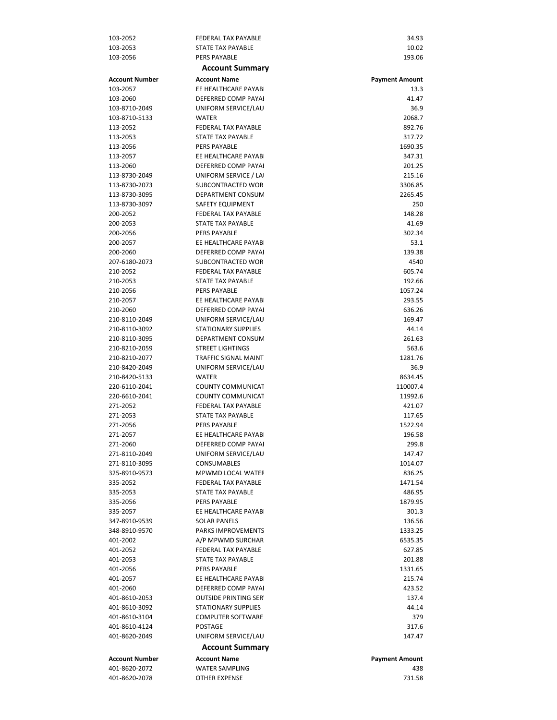| 103-2052                       | <b>FEDERAL TAX PAYABLE</b>                | 34.93                 |
|--------------------------------|-------------------------------------------|-----------------------|
| 103-2053                       | STATE TAX PAYABLE                         | 10.02                 |
| 103-2056                       | <b>PERS PAYABLE</b>                       | 193.06                |
|                                | <b>Account Summary</b>                    |                       |
| <b>Account Number</b>          | <b>Account Name</b>                       | <b>Payment Amount</b> |
| 103-2057                       | EE HEALTHCARE PAYABI                      | 13.3                  |
| 103-2060                       | DEFERRED COMP PAYAI                       | 41.47                 |
| 103-8710-2049                  | UNIFORM SERVICE/LAU                       | 36.9                  |
| 103-8710-5133                  | <b>WATER</b>                              | 2068.7                |
| 113-2052                       | <b>FEDERAL TAX PAYABLE</b>                | 892.76                |
| 113-2053                       | STATE TAX PAYABLE                         | 317.72                |
| 113-2056                       | <b>PERS PAYABLE</b>                       | 1690.35               |
| 113-2057                       | EE HEALTHCARE PAYABI                      | 347.31                |
| 113-2060                       | DEFERRED COMP PAYAI                       | 201.25                |
| 113-8730-2049                  | UNIFORM SERVICE / LAI                     | 215.16                |
| 113-8730-2073                  | SUBCONTRACTED WOR                         | 3306.85               |
| 113-8730-3095                  | DEPARTMENT CONSUM                         | 2265.45               |
| 113-8730-3097                  | SAFETY EQUIPMENT                          | 250                   |
| 200-2052                       | <b>FEDERAL TAX PAYABLE</b>                | 148.28                |
| 200-2053                       | STATE TAX PAYABLE                         | 41.69                 |
| 200-2056                       | PERS PAYABLE<br>EE HEALTHCARE PAYABI      | 302.34                |
| 200-2057<br>200-2060           |                                           | 53.1                  |
| 207-6180-2073                  | DEFERRED COMP PAYAI<br>SUBCONTRACTED WOR  | 139.38<br>4540        |
| 210-2052                       | FEDERAL TAX PAYABLE                       | 605.74                |
| 210-2053                       | STATE TAX PAYABLE                         | 192.66                |
| 210-2056                       | <b>PERS PAYABLE</b>                       | 1057.24               |
| 210-2057                       | EE HEALTHCARE PAYABI                      | 293.55                |
| 210-2060                       | DEFERRED COMP PAYAI                       | 636.26                |
| 210-8110-2049                  | UNIFORM SERVICE/LAU                       | 169.47                |
| 210-8110-3092                  | <b>STATIONARY SUPPLIES</b>                | 44.14                 |
| 210-8110-3095                  | DEPARTMENT CONSUM                         | 261.63                |
| 210-8210-2059                  | <b>STREET LIGHTINGS</b>                   | 563.6                 |
| 210-8210-2077                  | <b>TRAFFIC SIGNAL MAINT</b>               | 1281.76               |
| 210-8420-2049                  | UNIFORM SERVICE/LAU                       | 36.9                  |
| 210-8420-5133                  | <b>WATER</b>                              | 8634.45               |
| 220-6110-2041                  | <b>COUNTY COMMUNICAT</b>                  | 110007.4              |
| 220-6610-2041                  | COUNTY COMMUNICAT                         | 11992.6               |
| 271-2052                       | <b>FEDERAL TAX PAYABLE</b>                | 421.07                |
| 271-2053                       | STATE TAX PAYABLE                         | 117.65                |
| 271-2056                       | <b>PERS PAYABLE</b>                       | 1522.94               |
| 271-2057                       | EE HEALTHCARE PAYABI                      | 196.58                |
| 271-2060                       | DEFERRED COMP PAYAI                       | 299.8                 |
| 271-8110-2049                  | UNIFORM SERVICE/LAU<br><b>CONSUMABLES</b> | 147.47                |
| 271-8110-3095<br>325-8910-9573 | <b>MPWMD LOCAL WATER</b>                  | 1014.07               |
| 335-2052                       | <b>FEDERAL TAX PAYABLE</b>                | 836.25<br>1471.54     |
| 335-2053                       | STATE TAX PAYABLE                         | 486.95                |
| 335-2056                       | PERS PAYABLE                              | 1879.95               |
| 335-2057                       | EE HEALTHCARE PAYABI                      | 301.3                 |
| 347-8910-9539                  | <b>SOLAR PANELS</b>                       | 136.56                |
| 348-8910-9570                  | <b>PARKS IMPROVEMENTS</b>                 | 1333.25               |
| 401-2002                       | A/P MPWMD SURCHAR                         | 6535.35               |
| 401-2052                       | <b>FEDERAL TAX PAYABLE</b>                | 627.85                |
| 401-2053                       | STATE TAX PAYABLE                         | 201.88                |
| 401-2056                       | <b>PERS PAYABLE</b>                       | 1331.65               |
| 401-2057                       | EE HEALTHCARE PAYABI                      | 215.74                |
| 401-2060                       | DEFERRED COMP PAYAI                       | 423.52                |
| 401-8610-2053                  | <b>OUTSIDE PRINTING SER'</b>              | 137.4                 |
| 401-8610-3092                  | <b>STATIONARY SUPPLIES</b>                | 44.14                 |
| 401-8610-3104                  | <b>COMPUTER SOFTWARE</b>                  | 379                   |
| 401-8610-4124                  | <b>POSTAGE</b>                            | 317.6                 |
| 401-8620-2049                  | UNIFORM SERVICE/LAU                       | 147.47                |
|                                | <b>Account Summary</b>                    |                       |
| <b>Account Number</b>          | <b>Account Name</b>                       | <b>Payment Amount</b> |
| 401-8620-2072                  | <b>WATER SAMPLING</b>                     | 438                   |
| 401-8620-2078                  | OTHER EXPENSE                             | 731.58                |
|                                |                                           |                       |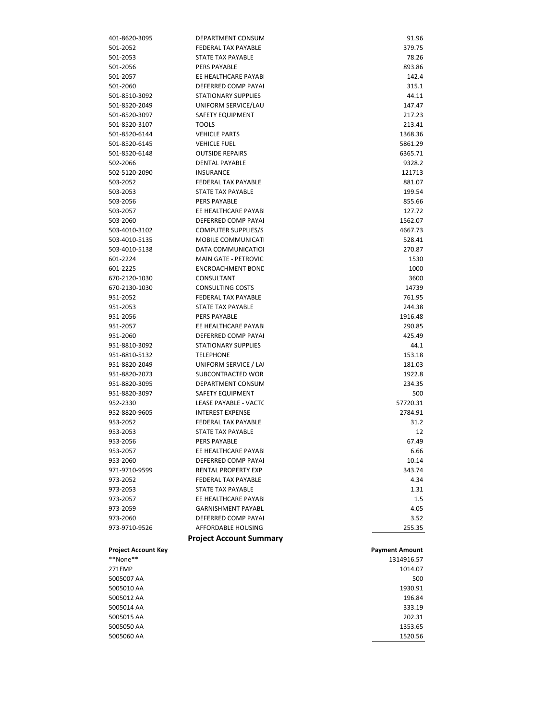| 5005060 AA                 |                                | 1520.56               |
|----------------------------|--------------------------------|-----------------------|
| 5005050 AA                 |                                | 1353.65               |
| 5005015 AA                 |                                | 202.31                |
| 5005014 AA                 |                                | 333.19                |
| 5005012 AA                 |                                | 196.84                |
| 5005010 AA                 |                                | 1930.91               |
| 5005007 AA                 |                                | 500                   |
| 271EMP                     |                                | 1014.07               |
| **None**                   |                                | 1314916.57            |
| <b>Project Account Key</b> |                                | <b>Payment Amount</b> |
|                            | <b>Project Account Summary</b> |                       |
| 973-9710-9526              | AFFORDABLE HOUSING             | 255.35                |
| 973-2060                   | DEFERRED COMP PAYAI            | 3.52                  |
|                            |                                | 4.05                  |
| 973-2059                   | <b>GARNISHMENT PAYABL</b>      | 1.5                   |
| 973-2057                   | EE HEALTHCARE PAYABI           |                       |
| 973-2053                   | STATE TAX PAYABLE              | 1.31                  |
| 973-2052                   | FEDERAL TAX PAYABLE            | 4.34                  |
| 971-9710-9599              | RENTAL PROPERTY EXP            | 343.74                |
| 953-2060                   | DEFERRED COMP PAYAI            | 10.14                 |
| 953-2057                   | EE HEALTHCARE PAYABI           | 6.66                  |
| 953-2056                   | PERS PAYABLE                   | 67.49                 |
| 953-2053                   | <b>STATE TAX PAYABLE</b>       | 12                    |
| 953-2052                   | <b>FEDERAL TAX PAYABLE</b>     | 31.2                  |
| 952-8820-9605              | <b>INTEREST EXPENSE</b>        | 2784.91               |
| 952-2330                   | LEASE PAYABLE - VACTC          | 57720.31              |
| 951-8820-3097              | SAFETY EQUIPMENT               | 500                   |
| 951-8820-3095              | DEPARTMENT CONSUM              | 234.35                |
| 951-8820-2073              | SUBCONTRACTED WOR              | 1922.8                |
| 951-8820-2049              | UNIFORM SERVICE / LAI          | 181.03                |
| 951-8810-5132              | <b>TELEPHONE</b>               | 153.18                |
| 951-8810-3092              | <b>STATIONARY SUPPLIES</b>     | 44.1                  |
| 951-2060                   | DEFERRED COMP PAYAI            | 425.49                |
| 951-2057                   | EE HEALTHCARE PAYABI           | 290.85                |
| 951-2056                   | PERS PAYABLE                   | 1916.48               |
| 951-2053                   | STATE TAX PAYABLE              | 244.38                |
| 951-2052                   | <b>FEDERAL TAX PAYABLE</b>     | 761.95                |
| 670-2130-1030              | <b>CONSULTING COSTS</b>        | 14739                 |
| 670-2120-1030              | CONSULTANT                     | 3600                  |
|                            |                                |                       |
| 601-2225                   | <b>ENCROACHMENT BOND</b>       | 1000                  |
| 601-2224                   | <b>MAIN GATE - PETROVIC</b>    | 1530                  |
| 503-4010-5138              | <b>DATA COMMUNICATIOI</b>      | 270.87                |
| 503-4010-5135              | MOBILE COMMUNICATI             | 528.41                |
| 503-4010-3102              | <b>COMPUTER SUPPLIES/S</b>     | 4667.73               |
| 503-2060                   | DEFERRED COMP PAYAI            | 1562.07               |
| 503-2057                   | EE HEALTHCARE PAYABI           | 127.72                |
| 503-2056                   | <b>PERS PAYABLE</b>            | 855.66                |
| 503-2053                   | <b>STATE TAX PAYABLE</b>       | 199.54                |
| 503-2052                   | FEDERAL TAX PAYABLE            | 881.07                |
| 502-5120-2090              | <b>INSURANCE</b>               | 121713                |
| 502-2066                   | <b>DENTAL PAYABLE</b>          | 9328.2                |
| 501-8520-6148              | <b>OUTSIDE REPAIRS</b>         | 6365.71               |
| 501-8520-6145              | <b>VEHICLE FUEL</b>            | 5861.29               |
| 501-8520-6144              | <b>VEHICLE PARTS</b>           | 1368.36               |
| 501-8520-3107              | <b>TOOLS</b>                   | 213.41                |
| 501-8520-3097              | SAFETY EQUIPMENT               | 217.23                |
| 501-8520-2049              | UNIFORM SERVICE/LAU            | 147.47                |
| 501-8510-3092              | <b>STATIONARY SUPPLIES</b>     | 44.11                 |
| 501-2060                   | DEFERRED COMP PAYAI            | 315.1                 |
| 501-2057                   | EE HEALTHCARE PAYABI           | 142.4                 |
| 501-2056                   | PERS PAYABLE                   | 893.86                |
| 501-2053                   | STATE TAX PAYABLE              | 78.26                 |
| 501-2052                   | FEDERAL TAX PAYABLE            | 379.75                |
| 401-8620-3095              | DEPARTMENT CONSUM              | 91.96                 |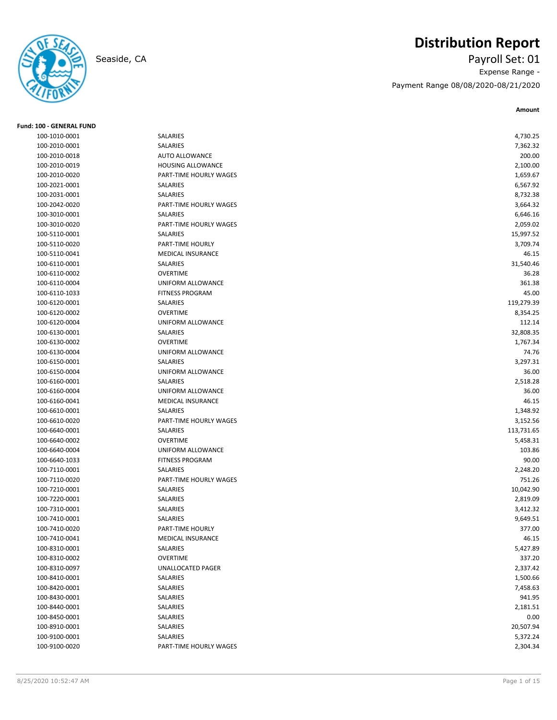

# **Distribution Report**

Seaside, CA Payroll Set: 01 Expense Range - Payment Range 08/08/2020-08/21/2020

| <b>Fund: 100 - GENERAL FUND</b> |                          |                      |
|---------------------------------|--------------------------|----------------------|
| 100-1010-0001                   | SALARIES                 | 4,730.25             |
| 100-2010-0001                   | SALARIES                 | 7,362.32             |
| 100-2010-0018                   | <b>AUTO ALLOWANCE</b>    | 200.00               |
| 100-2010-0019                   | HOUSING ALLOWANCE        | 2,100.00             |
| 100-2010-0020                   | PART-TIME HOURLY WAGES   | 1,659.67             |
| 100-2021-0001                   | SALARIES                 | 6,567.92             |
| 100-2031-0001                   | SALARIES                 | 8,732.38             |
| 100-2042-0020                   | PART-TIME HOURLY WAGES   | 3,664.32             |
| 100-3010-0001                   | <b>SALARIES</b>          | 6,646.16             |
| 100-3010-0020                   | PART-TIME HOURLY WAGES   | 2,059.02             |
| 100-5110-0001                   | SALARIES                 | 15,997.52            |
| 100-5110-0020                   | PART-TIME HOURLY         | 3,709.74             |
| 100-5110-0041                   | <b>MEDICAL INSURANCE</b> | 46.15                |
| 100-6110-0001                   | SALARIES                 | 31,540.46            |
| 100-6110-0002                   | <b>OVERTIME</b>          | 36.28                |
| 100-6110-0004                   | UNIFORM ALLOWANCE        | 361.38               |
| 100-6110-1033                   | <b>FITNESS PROGRAM</b>   | 45.00                |
| 100-6120-0001                   | SALARIES                 | 119,279.39           |
| 100-6120-0002                   | <b>OVERTIME</b>          | 8,354.25             |
| 100-6120-0004                   | UNIFORM ALLOWANCE        | 112.14               |
| 100-6130-0001                   | SALARIES                 | 32,808.35            |
| 100-6130-0002                   | <b>OVERTIME</b>          | 1,767.34             |
| 100-6130-0004                   | UNIFORM ALLOWANCE        | 74.76                |
| 100-6150-0001                   | SALARIES                 | 3,297.31             |
| 100-6150-0004                   | UNIFORM ALLOWANCE        | 36.00                |
| 100-6160-0001                   | SALARIES                 | 2,518.28             |
| 100-6160-0004                   | UNIFORM ALLOWANCE        | 36.00                |
| 100-6160-0041                   | <b>MEDICAL INSURANCE</b> | 46.15                |
| 100-6610-0001                   | SALARIES                 | 1,348.92             |
| 100-6610-0020                   | PART-TIME HOURLY WAGES   | 3,152.56             |
| 100-6640-0001                   | SALARIES                 | 113,731.65           |
| 100-6640-0002                   | <b>OVERTIME</b>          | 5,458.31             |
| 100-6640-0004                   | UNIFORM ALLOWANCE        | 103.86               |
| 100-6640-1033                   | <b>FITNESS PROGRAM</b>   | 90.00                |
| 100-7110-0001                   | SALARIES                 | 2,248.20             |
| 100-7110-0020                   | PART-TIME HOURLY WAGES   | 751.26               |
| 100-7210-0001                   | SALARIES                 | 10,042.90            |
| 100-7220-0001                   | SALARIES                 | 2,819.09             |
| 100-7310-0001                   | SALARIES                 | 3,412.32             |
| 100-7410-0001                   | SALARIES                 | 9,649.51             |
| 100-7410-0020                   | PART-TIME HOURLY         | 377.00               |
| 100-7410-0041                   | MEDICAL INSURANCE        | 46.15                |
| 100-8310-0001                   | SALARIES                 | 5,427.89             |
| 100-8310-0002                   | <b>OVERTIME</b>          | 337.20               |
| 100-8310-0097                   | <b>UNALLOCATED PAGER</b> |                      |
|                                 |                          | 2,337.42             |
| 100-8410-0001                   | SALARIES<br>SALARIES     | 1,500.66<br>7,458.63 |
| 100-8420-0001                   |                          |                      |
| 100-8430-0001                   | SALARIES                 | 941.95               |
| 100-8440-0001                   | SALARIES                 | 2,181.51             |
| 100-8450-0001                   | SALARIES                 | 0.00                 |
| 100-8910-0001                   | SALARIES                 | 20,507.94            |
| 100-9100-0001                   | SALARIES                 | 5,372.24             |
| 100-9100-0020                   | PART-TIME HOURLY WAGES   | 2,304.34             |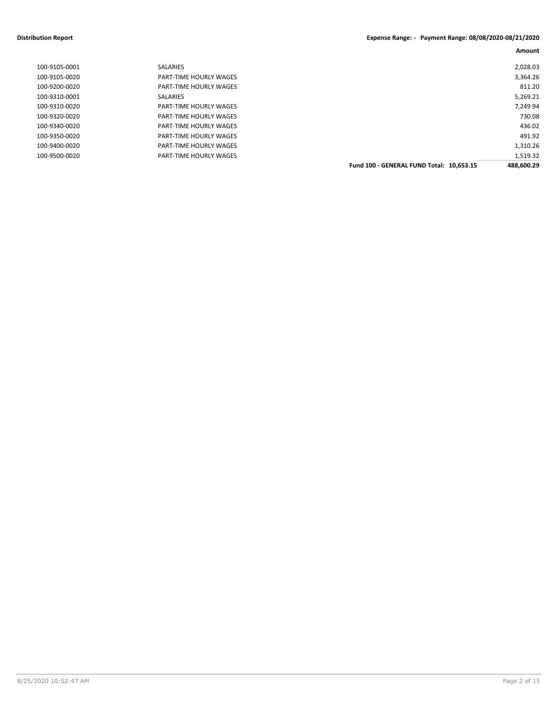#### **Distribution Report Expense Range: - Payment Range: 08/08/2020-08/21/2020**

| 100-9105-0001 | <b>SALARIES</b>               |                                          | 2,028.03   |
|---------------|-------------------------------|------------------------------------------|------------|
| 100-9105-0020 | <b>PART-TIME HOURLY WAGES</b> |                                          | 3,364.26   |
| 100-9200-0020 | <b>PART-TIME HOURLY WAGES</b> |                                          | 811.20     |
| 100-9310-0001 | <b>SALARIES</b>               |                                          | 5,269.21   |
| 100-9310-0020 | <b>PART-TIME HOURLY WAGES</b> |                                          | 7,249.94   |
| 100-9320-0020 | <b>PART-TIME HOURLY WAGES</b> |                                          | 730.08     |
| 100-9340-0020 | <b>PART-TIME HOURLY WAGES</b> |                                          | 436.02     |
| 100-9350-0020 | <b>PART-TIME HOURLY WAGES</b> |                                          | 491.92     |
| 100-9400-0020 | <b>PART-TIME HOURLY WAGES</b> |                                          | 1,310.26   |
| 100-9500-0020 | <b>PART-TIME HOURLY WAGES</b> |                                          | 1,519.32   |
|               |                               | Fund 100 - GENERAL FUND Total: 10.653.15 | 488.600.29 |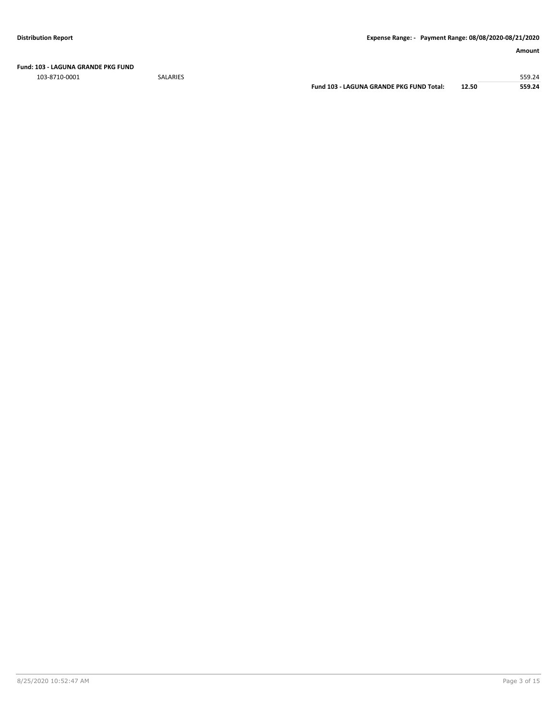**Fund: 103 - LAGUNA GRANDE PKG FUND**

103-8710-0001 SALARIES 559.24

**Fund 103 - LAGUNA GRANDE PKG FUND Total: 12.50 559.24**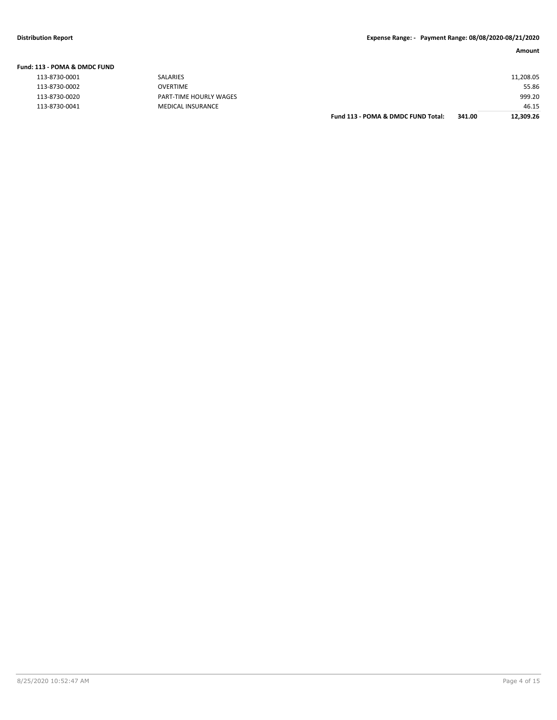|  | Fund: 113 - POMA & DMDC FUND |  |  |
|--|------------------------------|--|--|
|  |                              |  |  |

| 113-8730-0001 | SALARIES           |
|---------------|--------------------|
| 113-8730-0002 | OVERTIME           |
| 113-8730-0020 | PART-TIME HOURLY W |
| 113-8730-0041 | MEDICAL INSURANCE  |
|               |                    |

| 113-8730-0001 | SALARIES                 |                                    |        | 11,208.05 |
|---------------|--------------------------|------------------------------------|--------|-----------|
| 113-8730-0002 | <b>OVERTIME</b>          |                                    |        | 55.86     |
| 113-8730-0020 | PART-TIME HOURLY WAGES   |                                    |        | 999.20    |
| 113-8730-0041 | <b>MEDICAL INSURANCE</b> |                                    |        | 46.15     |
|               |                          | Fund 113 - POMA & DMDC FUND Total: | 341.00 | 12,309.26 |
|               |                          |                                    |        |           |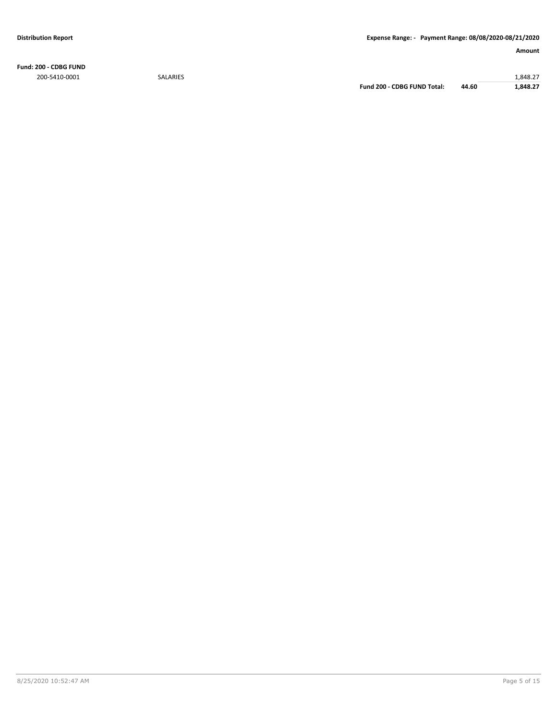**Fund: 200 - CDBG FUND** 200-5410-0001 SALARIES 1,848.27

**Fund 200 - CDBG FUND Total: 44.60 1,848.27**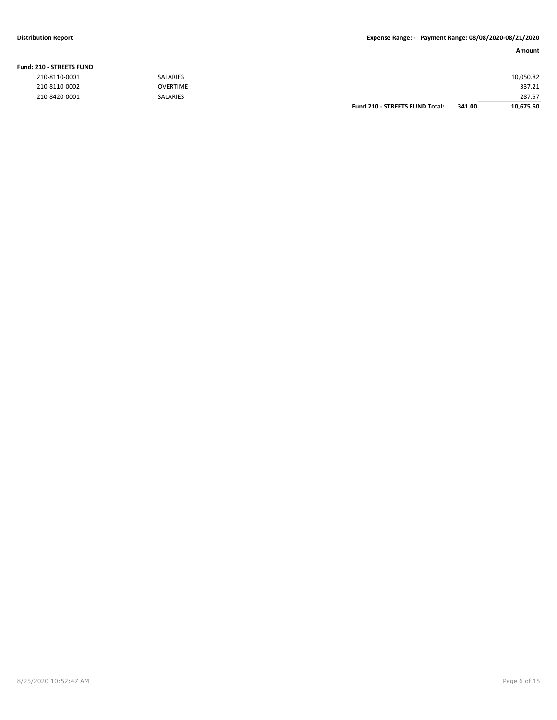#### **Fund: 210 - STREETS FUND**

| 210-8110-0001 | <b>SALARIES</b> |                                       |        | 10,050.82 |
|---------------|-----------------|---------------------------------------|--------|-----------|
| 210-8110-0002 | <b>OVERTIME</b> |                                       |        | 337.21    |
| 210-8420-0001 | <b>SALARIES</b> |                                       |        | 287.57    |
|               |                 | <b>Fund 210 - STREETS FUND Total:</b> | 341.00 | 10,675.60 |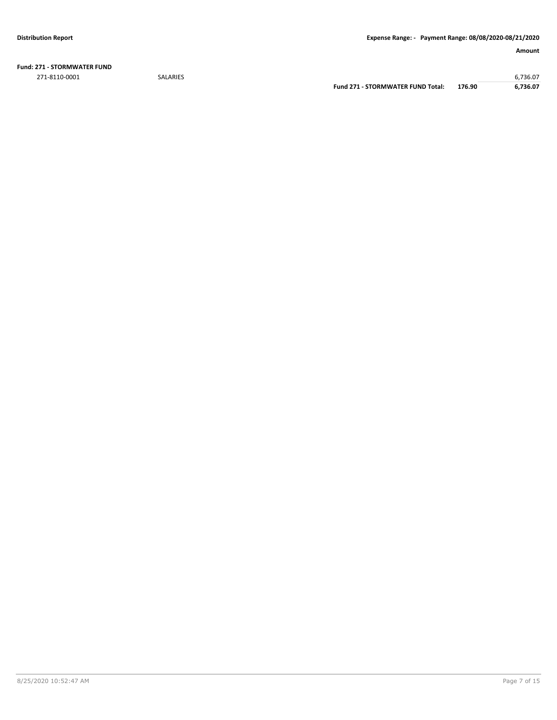**Fund: 271 - STORMWATER FUND** 271-8110-0001 SALARIES 6,736.07

**Fund 271 - STORMWATER FUND Total: 176.90 6,736.07**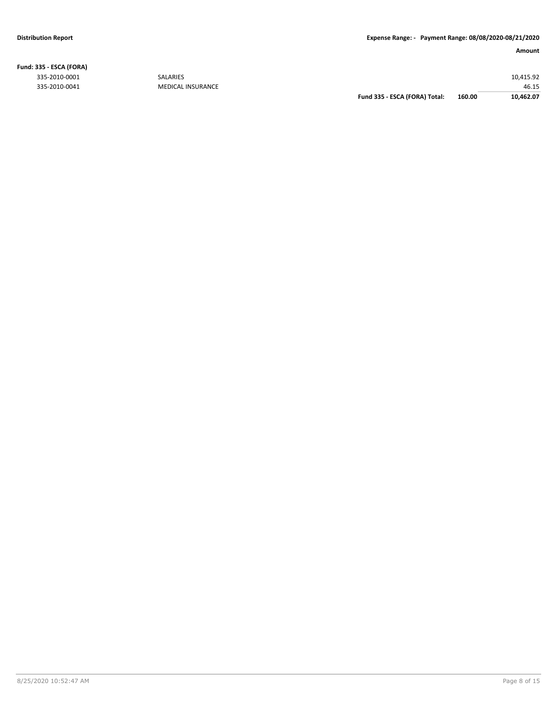**Fund: 335 - ESCA (FORA)**

#### **Amount**

335-2010-0001 SALARIES 10,415.92 46.15<br>46.15 46.15 GUIDEAL INSURANCE Fund 335 - ESCA (FORA) Total: 46.00 46.15<br>46.15 Fund 335 - ESCA (FORA) Total: 460.00 40.462.07 **Fund 335 - ESCA (FORA) Total: 160.00 10,462.07**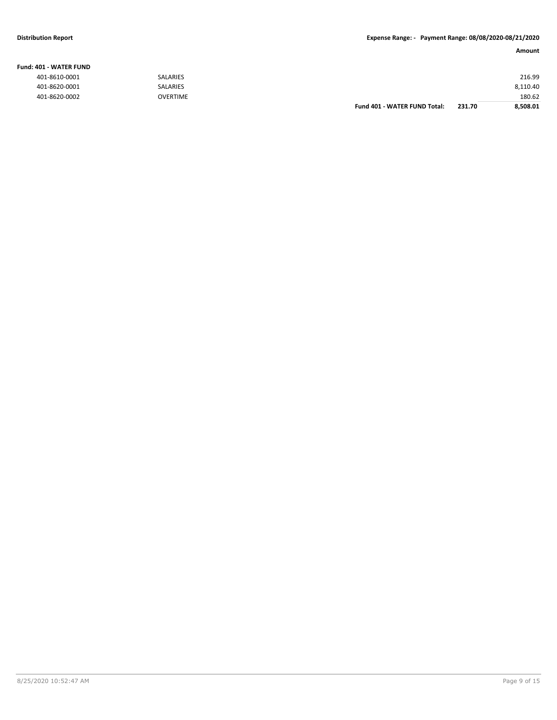#### **Fund: 401 - WATER FUND**

| 401-8610-0001 | <b>SALARIES</b> |                              |        | 216.99   |
|---------------|-----------------|------------------------------|--------|----------|
| 401-8620-0001 | SALARIES        |                              |        | 8,110.40 |
| 401-8620-0002 | <b>OVERTIME</b> |                              |        | 180.62   |
|               |                 | Fund 401 - WATER FUND Total: | 231.70 | 8.508.01 |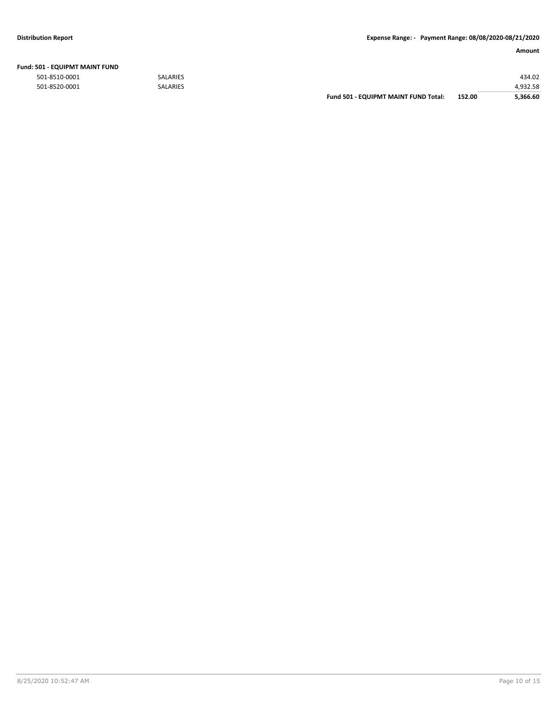| <b>Fund: 501 - EQUIPMT MAINT FUND</b> |  |
|---------------------------------------|--|
|---------------------------------------|--|

|               |                 | <b>Fund 501 - EQUIPMT MAINT FUND Total:</b> | 152.00 | 5.366.60 |
|---------------|-----------------|---------------------------------------------|--------|----------|
| 501-8520-0001 | <b>SALARIES</b> |                                             |        | 4.932.58 |
| 501-8510-0001 | <b>SALARIES</b> |                                             |        | 434.02   |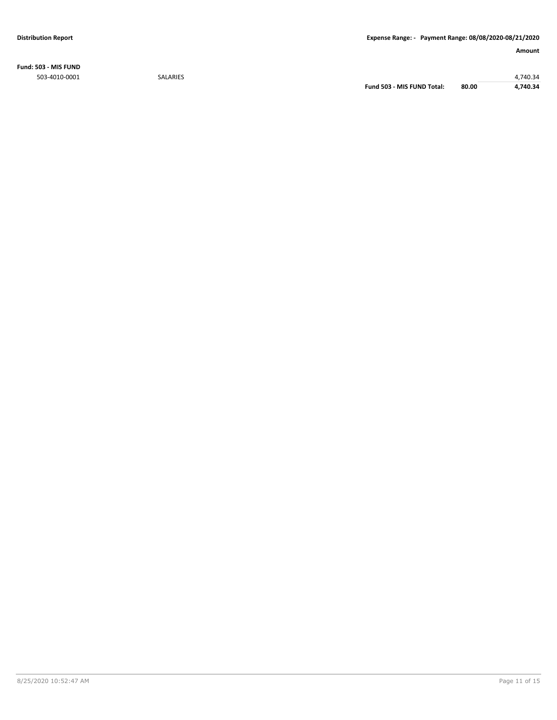**Fund: 503 - MIS FUND** 503-4010-0001 SALARIES 4,740.34

**Fund 503 - MIS FUND Total: 80.00 4,740.34**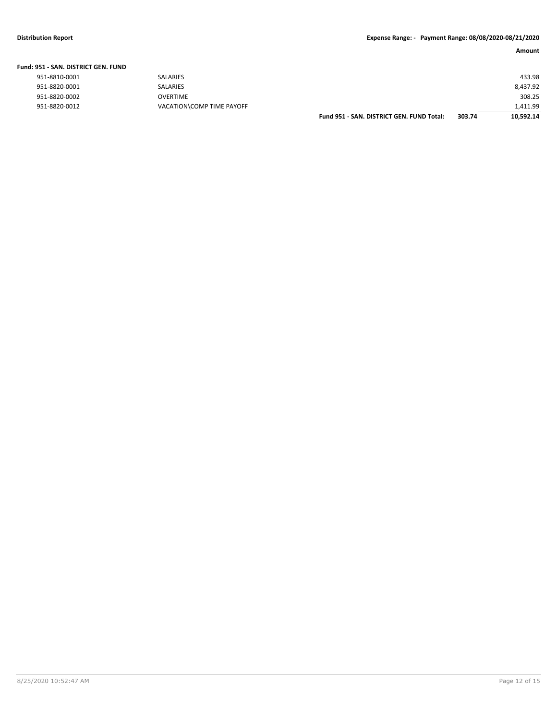| Fund: 951 - SAN. DISTRICT GEN. FUND |                           |                                           |        |           |
|-------------------------------------|---------------------------|-------------------------------------------|--------|-----------|
| 951-8810-0001                       | <b>SALARIES</b>           |                                           |        | 433.98    |
| 951-8820-0001                       | SALARIES                  |                                           |        | 8.437.92  |
| 951-8820-0002                       | OVERTIME                  |                                           |        | 308.25    |
| 951-8820-0012                       | VACATION\COMP TIME PAYOFF |                                           |        | 1,411.99  |
|                                     |                           | Fund 951 - SAN, DISTRICT GEN, FUND Total: | 303.74 | 10.592.14 |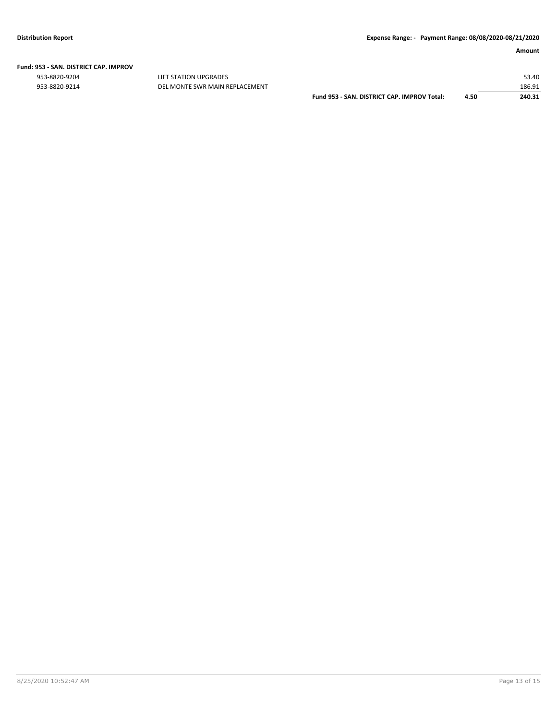|  | Fund: 953 - SAN. DISTRICT CAP. IMPROV |  |
|--|---------------------------------------|--|
|  |                                       |  |

953-8820-9204 LIFT STATION UPGRADES 53.40

953-8820-9214 DEL MONTE SWR MAIN REPLACEMENT<br>240.31 Pund 953 - SAN. DISTRICT CAP. IMPROV Total: 4.50 240.31 **Fund 953 - SAN. DISTRICT CAP. IMPROV Total: 4.50**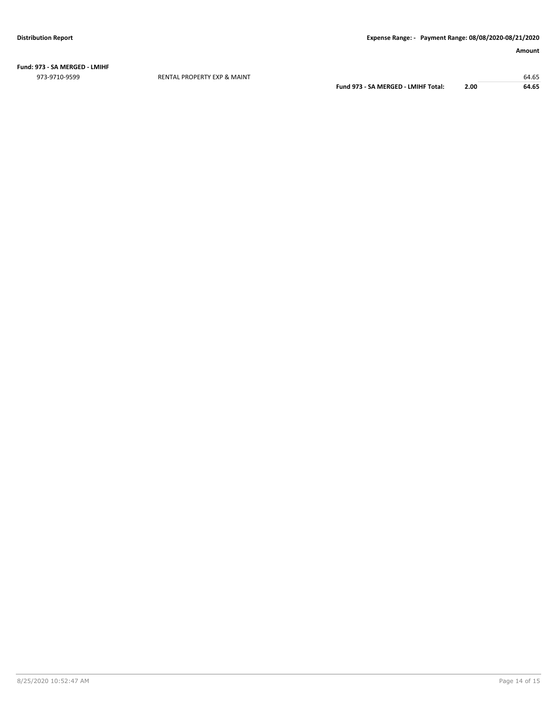**Fund: 973 - SA MERGED - LMIHF** 973-9710-9599 RENTAL PROPERTY EXP & MAINT 64.65

**Fund 973 - SA MERGED - LMIHF Total: 2.00 64.65**